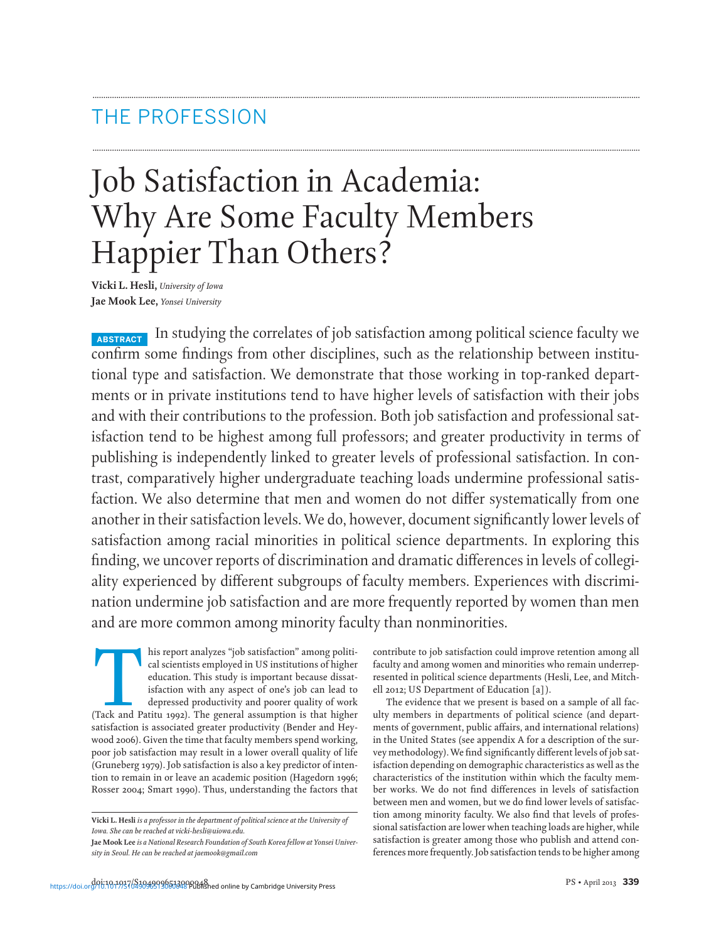## THE PROFESSION

# Job Satisfaction in Academia: Why Are Some Faculty Members Happier Than Others?

**Vicki L. Hesli,** *University of Iowa* **Jae Mook Lee,** *Yonsei University*

**ABSTRACT** In studying the correlates of job satisfaction among political science faculty we confirm some findings from other disciplines, such as the relationship between institutional type and satisfaction. We demonstrate that those working in top-ranked departments or in private institutions tend to have higher levels of satisfaction with their jobs and with their contributions to the profession. Both job satisfaction and professional satisfaction tend to be highest among full professors; and greater productivity in terms of publishing is independently linked to greater levels of professional satisfaction. In contrast, comparatively higher undergraduate teaching loads undermine professional satisfaction. We also determine that men and women do not differ systematically from one another in their satisfaction levels.We do, however, document significantly lower levels of satisfaction among racial minorities in political science departments. In exploring this finding, we uncover reports of discrimination and dramatic differences in levels of collegiality experienced by different subgroups of faculty members. Experiences with discrimination undermine job satisfaction and are more frequently reported by women than men and are more common among minority faculty than nonminorities.

**.............................................................................................................................................................................................................................................................**

**.............................................................................................................................................................................................................................................................**

This report analyzes "job satisfaction" among political scientists employed in US institutions of higher education. This study is important because dissatisfaction with any aspect of one's job can lead to depressed product cal scientists employed in US institutions of higher education. This study is important because dissatisfaction with any aspect of one's job can lead to depressed productivity and poorer quality of work satisfaction is associated greater productivity (Bender and Heywood 2006). Given the time that faculty members spend working, poor job satisfaction may result in a lower overall quality of life (Gruneberg 1979). Job satisfaction is also a key predictor of intention to remain in or leave an academic position (Hagedorn 1996; Rosser 2004; Smart 1990). Thus, understanding the factors that

contribute to job satisfaction could improve retention among all faculty and among women and minorities who remain underrepresented in political science departments (Hesli, Lee, and Mitchell 2012; US Department of Education [a] ).

The evidence that we present is based on a sample of all faculty members in departments of political science (and departments of government, public affairs, and international relations) in the United States (see appendix A for a description of the survey methodology).We find significantly different levels of job satisfaction depending on demographic characteristics as well as the characteristics of the institution within which the faculty member works. We do not find differences in levels of satisfaction between men and women, but we do find lower levels of satisfaction among minority faculty. We also find that levels of professional satisfaction are lower when teaching loads are higher, while satisfaction is greater among those who publish and attend conferences more frequently. Job satisfaction tends to be higher among

**Vicki L. Hesli** *is a professor in the department of political science at the University of Iowa. She can be reached at vicki-hesli@uiowa.edu.*

Jae Mook Lee *is a National Research Foundation of South Korea fellow at Yonsei University in Seoul. He can be reached at jaemook@gmail.com*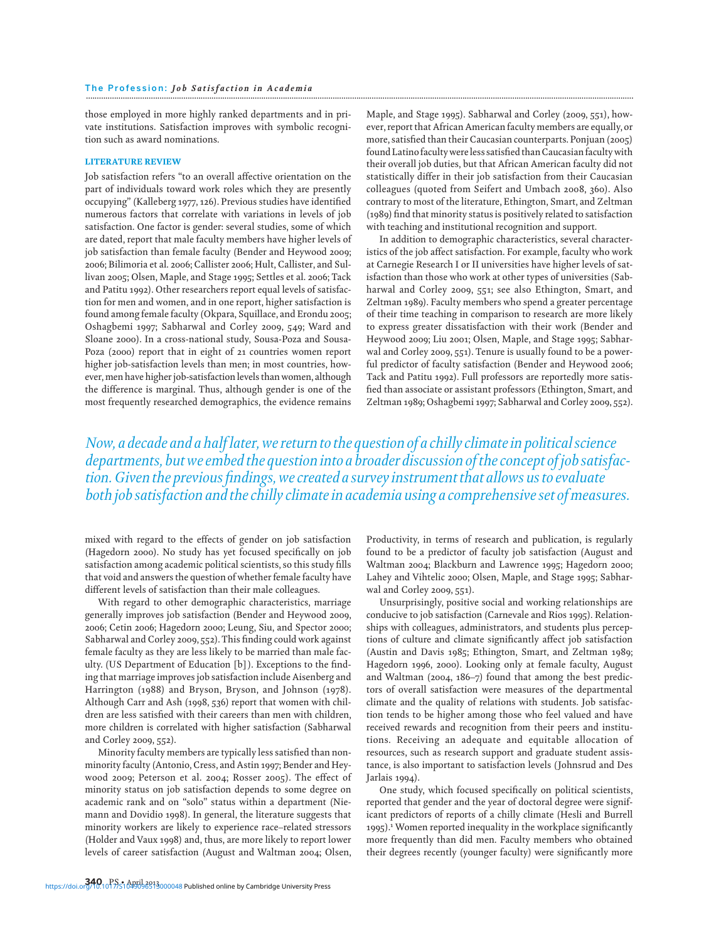those employed in more highly ranked departments and in private institutions. Satisfaction improves with symbolic recognition such as award nominations.

#### LITERATURE REVIEW

Job satisfaction refers "to an overall affective orientation on the part of individuals toward work roles which they are presently occupying" (Kalleberg 1977, 126). Previous studies have identified numerous factors that correlate with variations in levels of job satisfaction. One factor is gender: several studies, some of which are dated, report that male faculty members have higher levels of job satisfaction than female faculty (Bender and Heywood 2009; 2006; Bilimoria et al. 2006; Callister 2006; Hult, Callister, and Sullivan 2005; Olsen, Maple, and Stage 1995; Settles et al. 2006; Tack and Patitu 1992). Other researchers report equal levels of satisfaction for men and women, and in one report, higher satisfaction is found among female faculty (Okpara, Squillace, and Erondu 2005; Oshagbemi 1997; Sabharwal and Corley 2009, 549; Ward and Sloane 2000). In a cross-national study, Sousa-Poza and Sousa-Poza (2000) report that in eight of 21 countries women report higher job-satisfaction levels than men; in most countries, however, men have higher job-satisfaction levels than women, although the difference is marginal. Thus, although gender is one of the most frequently researched demographics, the evidence remains

Maple, and Stage 1995). Sabharwal and Corley (2009, 551), however, report that African American faculty members are equally, or more, satisfied than their Caucasian counterparts. Ponjuan (2005) found Latino faculty wereless satisfied thanCaucasian faculty with their overall job duties, but that African American faculty did not statistically differ in their job satisfaction from their Caucasian colleagues (quoted from Seifert and Umbach 2008, 360). Also contrary to most of the literature, Ethington, Smart, and Zeltman (1989) find that minority status is positively related to satisfaction with teaching and institutional recognition and support.

In addition to demographic characteristics, several characteristics of the job affect satisfaction. For example, faculty who work at Carnegie Research I or II universities have higher levels of satisfaction than those who work at other types of universities (Sabharwal and Corley 2009, 551; see also Ethington, Smart, and Zeltman 1989). Faculty members who spend a greater percentage of their time teaching in comparison to research are more likely to express greater dissatisfaction with their work (Bender and Heywood 2009; Liu 2001; Olsen, Maple, and Stage 1995; Sabharwal and Corley 2009, 551). Tenure is usually found to be a powerful predictor of faculty satisfaction (Bender and Heywood 2006; Tack and Patitu 1992). Full professors are reportedly more satisfied than associate or assistant professors (Ethington, Smart, and Zeltman 1989; Oshagbemi 1997; Sabharwal and Corley 2009, 552).

*Now, a decade and a half later, we return to the question of a chilly climate in political science departments, but we embed the question into a broader discussion of the concept of job satisfaction. Given the previous findings, we created a survey instrument that allows us to evaluate both job satisfaction and the chilly climate in academia using a comprehensive set of measures.*

mixed with regard to the effects of gender on job satisfaction (Hagedorn 2000). No study has yet focused specifically on job satisfaction among academic political scientists, so this study fills that void and answers the question of whether female faculty have different levels of satisfaction than their male colleagues.

With regard to other demographic characteristics, marriage generally improves job satisfaction (Bender and Heywood 2009, 2006; Cetin 2006; Hagedorn 2000; Leung, Siu, and Spector 2000; Sabharwal and Corley 2009, 552). This finding could work against female faculty as they are less likely to be married than male faculty. (US Department of Education [b] ). Exceptions to the finding that marriage improves job satisfaction include Aisenberg and Harrington (1988) and Bryson, Bryson, and Johnson (1978). Although Carr and Ash (1998, 536) report that women with children are less satisfied with their careers than men with children, more children is correlated with higher satisfaction (Sabharwal and Corley 2009, 552).

Minority faculty members are typically less satisfied than nonminority faculty (Antonio, Cress, and Astin 1997; Bender and Heywood 2009; Peterson et al. 2004; Rosser 2005). The effect of minority status on job satisfaction depends to some degree on academic rank and on "solo" status within a department (Niemann and Dovidio 1998). In general, the literature suggests that minority workers are likely to experience race–related stressors (Holder and Vaux 1998) and, thus, are more likely to report lower levels of career satisfaction (August and Waltman 2004; Olsen,

Productivity, in terms of research and publication, is regularly found to be a predictor of faculty job satisfaction (August and Waltman 2004; Blackburn and Lawrence 1995; Hagedorn 2000; Lahey and Vihtelic 2000; Olsen, Maple, and Stage 1995; Sabharwal and Corley 2009, 551).

Unsurprisingly, positive social and working relationships are conducive to job satisfaction (Carnevale and Rios 1995). Relationships with colleagues, administrators, and students plus perceptions of culture and climate significantly affect job satisfaction (Austin and Davis 1985; Ethington, Smart, and Zeltman 1989; Hagedorn 1996, 2000). Looking only at female faculty, August and Waltman (2004, 186–7) found that among the best predictors of overall satisfaction were measures of the departmental climate and the quality of relations with students. Job satisfaction tends to be higher among those who feel valued and have received rewards and recognition from their peers and institutions. Receiving an adequate and equitable allocation of resources, such as research support and graduate student assistance, is also important to satisfaction levels (Johnsrud and Des Jarlais 1994).

One study, which focused specifically on political scientists, reported that gender and the year of doctoral degree were significant predictors of reports of a chilly climate (Hesli and Burrell 1995).<sup>1</sup> Women reported inequality in the workplace significantly more frequently than did men. Faculty members who obtained their degrees recently (younger faculty) were significantly more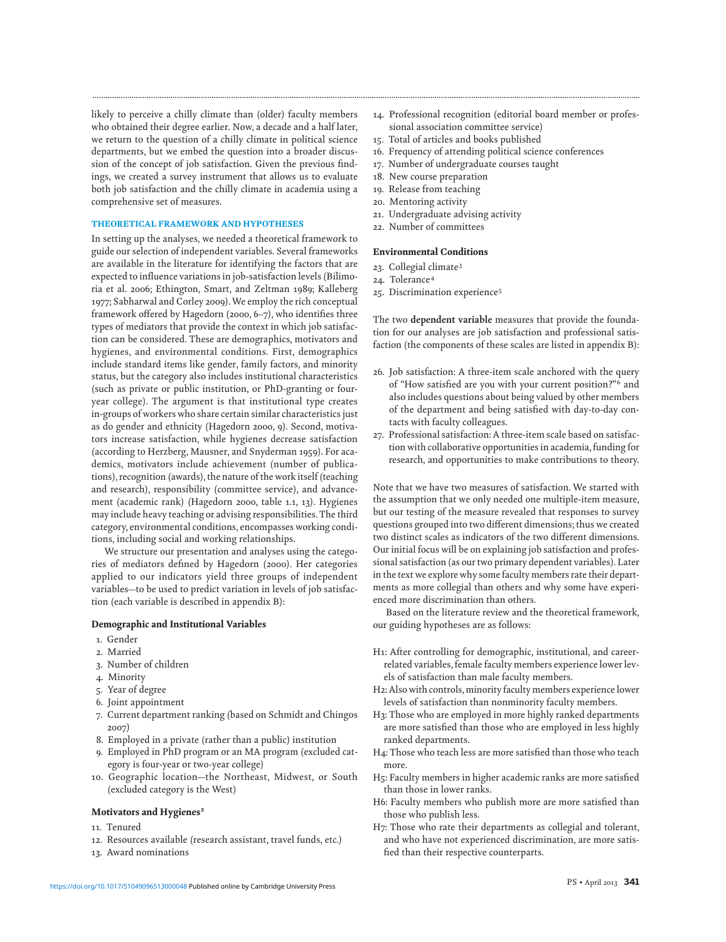likely to perceive a chilly climate than (older) faculty members who obtained their degree earlier. Now, a decade and a half later, we return to the question of a chilly climate in political science departments, but we embed the question into a broader discussion of the concept of job satisfaction. Given the previous findings, we created a survey instrument that allows us to evaluate both job satisfaction and the chilly climate in academia using a comprehensive set of measures.

#### THEORETICAL FRAMEWORK AND HYPOTHESES

In setting up the analyses, we needed a theoretical framework to guide our selection of independent variables. Several frameworks are available in the literature for identifying the factors that are expected to influence variations in job-satisfaction levels (Bilimoria et al. 2006; Ethington, Smart, and Zeltman 1989; Kalleberg 1977; Sabharwal and Corley 2009).We employ the rich conceptual framework offered by Hagedorn (2000, 6–7), who identifies three types of mediators that provide the context in which job satisfaction can be considered. These are demographics, motivators and hygienes, and environmental conditions. First, demographics include standard items like gender, family factors, and minority status, but the category also includes institutional characteristics (such as private or public institution, or PhD-granting or fouryear college). The argument is that institutional type creates in-groups of workers who share certain similar characteristics just as do gender and ethnicity (Hagedorn 2000, 9). Second, motivators increase satisfaction, while hygienes decrease satisfaction (according to Herzberg, Mausner, and Snyderman 1959). For academics, motivators include achievement (number of publications), recognition (awards), the nature of the work itself (teaching and research), responsibility (committee service), and advancement (academic rank) (Hagedorn 2000, table 1.1, 13). Hygienes may include heavy teaching or advising responsibilities. The third category, environmental conditions, encompasses working conditions, including social and working relationships.

We structure our presentation and analyses using the categories of mediators defined by Hagedorn (2000). Her categories applied to our indicators yield three groups of independent variables—to be used to predict variation in levels of job satisfaction (each variable is described in appendix B):

#### Demographic and Institutional Variables

- 1. Gender
- 2. Married
- 3. Number of children
- 4. Minority
- 5. Year of degree
- 6. Joint appointment
- 7. Current department ranking (based on Schmidt and Chingos 2007)
- 8. Employed in a private (rather than a public) institution
- 9. Employed in PhD program or an MA program (excluded category is four-year or two-year college)
- 10. Geographic location—the Northeast, Midwest, or South (excluded category is the West)

#### Motivators and Hygienes<sup>2</sup>

- 11. Tenured
- 12. Resources available (research assistant, travel funds, etc.)
- 13. Award nominations
- 14. Professional recognition (editorial board member or professional association committee service)
- 15. Total of articles and books published
- 16. Frequency of attending political science conferences
- 17. Number of undergraduate courses taught
- 18. New course preparation
- 19. Release from teaching
- 20. Mentoring activity
- 21. Undergraduate advising activity
- 22. Number of committees

#### Environmental Conditions

- 23. Collegial climate<sup>3</sup>
- 24. Tolerance<sup>4</sup>

**.............................................................................................................................................................................................................................................................**

25. Discrimination experience<sup>5</sup>

The two **dependent variable** measures that provide the foundation for our analyses are job satisfaction and professional satisfaction (the components of these scales are listed in appendix B):

- 26. Job satisfaction: A three-item scale anchored with the query of "How satisfied are you with your current position?"<sup>6</sup> and also includes questions about being valued by other members of the department and being satisfied with day-to-day contacts with faculty colleagues.
- 27. Professional satisfaction: A three-item scale based on satisfaction with collaborative opportunities in academia, funding for research, and opportunities to make contributions to theory.

Note that we have two measures of satisfaction. We started with the assumption that we only needed one multiple-item measure, but our testing of the measure revealed that responses to survey questions grouped into two different dimensions; thus we created two distinct scales as indicators of the two different dimensions. Our initial focus will be on explaining job satisfaction and professional satisfaction (as our two primary dependent variables). Later in the text we explore why some faculty members rate their departments as more collegial than others and why some have experienced more discrimination than others.

Based on the literature review and the theoretical framework, our guiding hypotheses are as follows:

- H1: After controlling for demographic, institutional, and careerrelated variables, female faculty members experience lower levels of satisfaction than male faculty members.
- H2: Also with controls, minority faculty members experience lower levels of satisfaction than nonminority faculty members.
- H3: Those who are employed in more highly ranked departments are more satisfied than those who are employed in less highly ranked departments.
- H4: Those who teach less are more satisfied than those who teach more.
- H5: Faculty members in higher academic ranks are more satisfied than those in lower ranks.
- H6: Faculty members who publish more are more satisfied than those who publish less.
- H7: Those who rate their departments as collegial and tolerant, and who have not experienced discrimination, are more satisfied than their respective counterparts.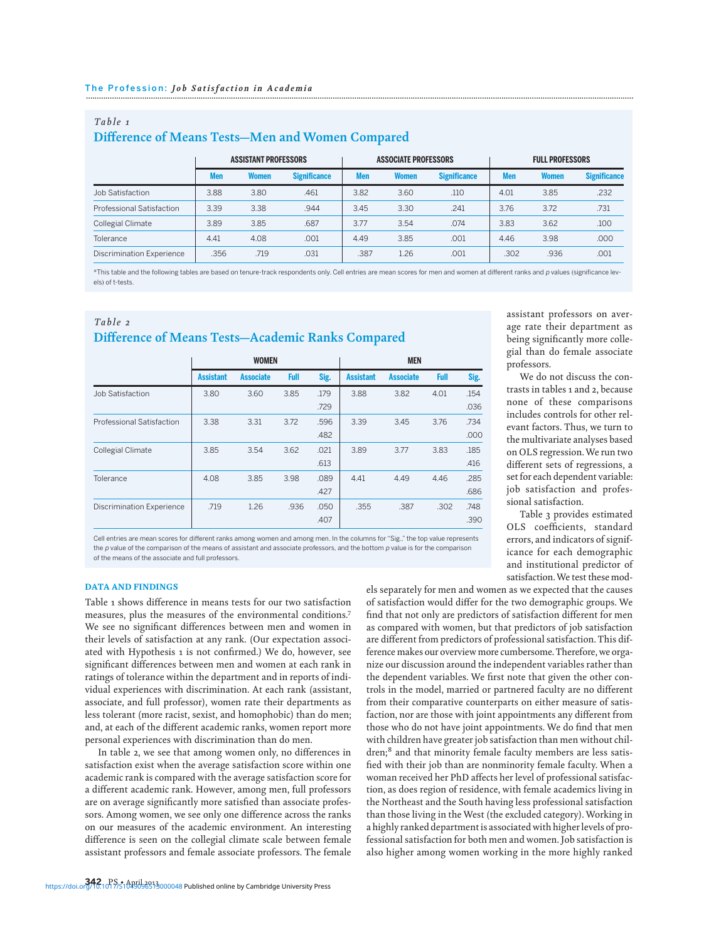| Table 1                                          |  |
|--------------------------------------------------|--|
| Difference of Means Tests-Men and Women Compared |  |

|                                  | <b>ASSISTANT PROFESSORS</b> |       | <b>ASSOCIATE PROFESSORS</b> |            | <b>FULL PROFESSORS</b> |                     |            |              |                     |
|----------------------------------|-----------------------------|-------|-----------------------------|------------|------------------------|---------------------|------------|--------------|---------------------|
|                                  | <b>Men</b>                  | Women | <b>Significance</b>         | <b>Men</b> | Women                  | <b>Significance</b> | <b>Men</b> | <b>Women</b> | <b>Significance</b> |
| Job Satisfaction                 | 3.88                        | 3.80  | .461                        | 3.82       | 3.60                   | .110                | 4.01       | 3.85         | .232                |
| <b>Professional Satisfaction</b> | 3.39                        | 3.38  | .944                        | 3.45       | 3.30                   | .241                | 3.76       | 3.72         | .731                |
| <b>Collegial Climate</b>         | 3.89                        | 3.85  | .687                        | 3.77       | 3.54                   | .074                | 3.83       | 3.62         | .100                |
| Tolerance                        | 4.41                        | 4.08  | .001                        | 4.49       | 3.85                   | .001                | 4.46       | 3.98         | .000                |
| <b>Discrimination Experience</b> | .356                        | .719  | .031                        | .387       | 1.26                   | .001                | .302       | .936         | .001                |

\*This table and the following tables are based on tenure-track respondents only. Cell entries are mean scores for men and women at different ranks and p values (significance levels) of t-tests

## *Table 2* **Difference of Means Tests—Academic Ranks Compared**

|                                  | <b>WOMEN</b>     |                  |      |      | <b>MEN</b>       |                  |             |      |
|----------------------------------|------------------|------------------|------|------|------------------|------------------|-------------|------|
|                                  | <b>Assistant</b> | <b>Associate</b> | Full | Sig. | <b>Assistant</b> | <b>Associate</b> | <b>Full</b> | Sig. |
| Job Satisfaction                 | 3.80             | 3.60             | 3.85 | .179 | 3.88             | 3.82             | 4.01        | .154 |
|                                  |                  |                  |      | .729 |                  |                  |             | .036 |
| Professional Satisfaction        | 3.38             | 3.31             | 3.72 | .596 | 3.39             | 3.45             | 3.76        | .734 |
|                                  |                  |                  |      | .482 |                  |                  |             | .000 |
| Collegial Climate                | 3.85             | 3.54             | 3.62 | .021 | 3.89             | 3.77             | 3.83        | .185 |
|                                  |                  |                  |      | .613 |                  |                  |             | .416 |
| Tolerance                        | 4.08             | 3.85             | 3.98 | .089 | 4.41             | 4.49             | 4.46        | .285 |
|                                  |                  |                  |      | .427 |                  |                  |             | .686 |
| <b>Discrimination Experience</b> | .719             | 1.26             | .936 | .050 | .355             | .387             | .302        | .748 |
|                                  |                  |                  |      | .407 |                  |                  |             | .390 |

Cell entries are mean scores for different ranks among women and among men. In the columns for "Sig.," the top value represents the p value of the comparison of the means of assistant and associate professors, and the bottom p value is for the comparison of the means of the associate and full professors.

#### DATA AND FINDINGS

Table 1 shows difference in means tests for our two satisfaction measures, plus the measures of the environmental conditions.7 We see no significant differences between men and women in their levels of satisfaction at any rank. (Our expectation associated with Hypothesis 1 is not confirmed.) We do, however, see significant differences between men and women at each rank in ratings of tolerance within the department and in reports of individual experiences with discrimination. At each rank (assistant, associate, and full professor), women rate their departments as less tolerant (more racist, sexist, and homophobic) than do men; and, at each of the different academic ranks, women report more personal experiences with discrimination than do men.

In table 2, we see that among women only, no differences in satisfaction exist when the average satisfaction score within one academic rank is compared with the average satisfaction score for a different academic rank. However, among men, full professors are on average significantly more satisfied than associate professors. Among women, we see only one difference across the ranks on our measures of the academic environment. An interesting difference is seen on the collegial climate scale between female assistant professors and female associate professors. The female

assistant professors on average rate their department as being significantly more collegial than do female associate professors.

We do not discuss the contrasts in tables 1 and 2, because none of these comparisons includes controls for other relevant factors. Thus, we turn to the multivariate analyses based on OLS regression.We run two different sets of regressions, a set for each dependent variable: job satisfaction and professional satisfaction.

Table 3 provides estimated OLS coefficients, standard errors, and indicators of significance for each demographic and institutional predictor of satisfaction.We test these mod-

els separately for men and women as we expected that the causes of satisfaction would differ for the two demographic groups. We find that not only are predictors of satisfaction different for men as compared with women, but that predictors of job satisfaction are different from predictors of professional satisfaction. This difference makes our overview more cumbersome.Therefore, we organize our discussion around the independent variables rather than the dependent variables. We first note that given the other controls in the model, married or partnered faculty are no different from their comparative counterparts on either measure of satisfaction, nor are those with joint appointments any different from those who do not have joint appointments. We do find that men with children have greater job satisfaction than men without children;<sup>8</sup> and that minority female faculty members are less satisfied with their job than are nonminority female faculty. When a woman received her PhD affects her level of professional satisfaction, as does region of residence, with female academics living in the Northeast and the South having less professional satisfaction than those living in theWest (the excluded category).Working in a highly ranked department is associated with higher levels of professional satisfaction for both men and women. Job satisfaction is also higher among women working in the more highly ranked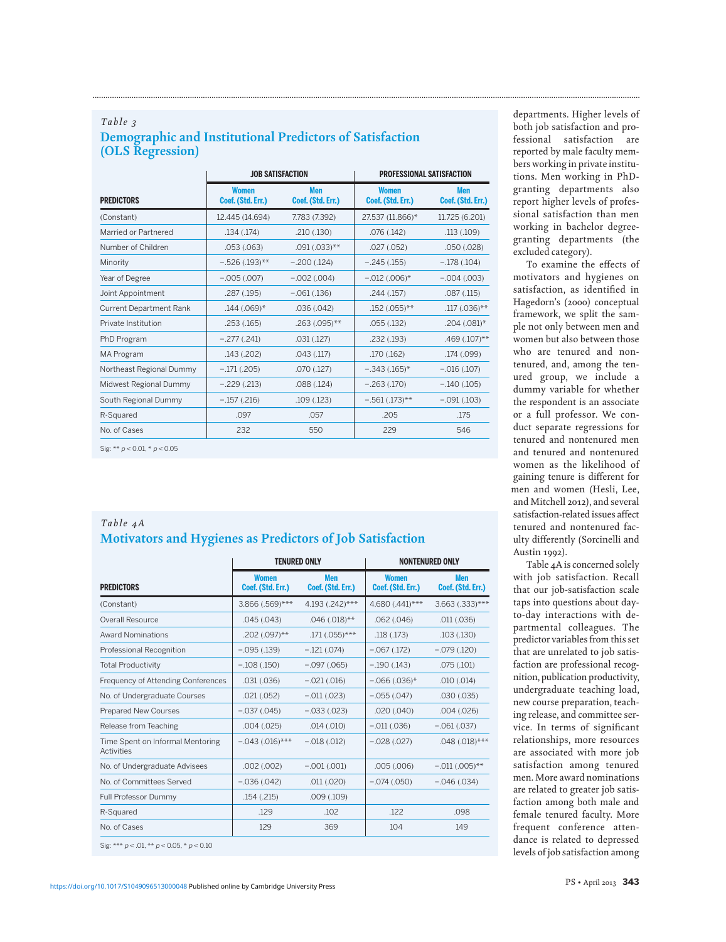## *Table 3* **Demographic and Institutional Predictors of Satisfaction (OLS Regression)**

|                                |                                   | <b>JOB SATISFACTION</b>         | <b>PROFESSIONAL SATISFACTION</b>  |                                 |  |
|--------------------------------|-----------------------------------|---------------------------------|-----------------------------------|---------------------------------|--|
| <b>PREDICTORS</b>              | <b>Women</b><br>Coef. (Std. Err.) | <b>Men</b><br>Coef. (Std. Err.) | <b>Women</b><br>Coef. (Std. Err.) | <b>Men</b><br>Coef. (Std. Err.) |  |
| (Constant)                     | 12.445 (14.694)                   | 7.783 (7.392)                   | 27.537 (11.866)*                  | 11.725 (6.201)                  |  |
| Married or Partnered           | .134 (.174)                       | .210(.130)                      | .076(.142)                        | .113(.109)                      |  |
| Number of Children             | .053(.063)                        | $.091(.033)$ **                 | .027(.052)                        | .050(.028)                      |  |
| Minority                       | $-.526(.193)$ **                  | $-.200(.124)$                   | $-.245(.155)$                     | $-.178(.104)$                   |  |
| Year of Degree                 | $-0.005$ $(0.007)$                | $-0.002$ $(0.004)$              | $-.012(.006)$ *                   | $-0.004$ $(0.003)$              |  |
| Joint Appointment              | .287 (.195)                       | $-.061(.136)$                   | .244(.157)                        | .087(.115)                      |  |
| <b>Current Department Rank</b> | $.144(.069)$ *                    | .036(.042)                      | $.152(.055)$ **                   | $.117(.036)$ **                 |  |
| Private Institution            | .253(.165)                        | $.263(.095)$ **                 | .055(.132)                        | $.204(.081)$ *                  |  |
| PhD Program                    | $-.277(.241)$                     | .031(.127)                      | .232 (.193)                       | $.469(.107)$ **                 |  |
| <b>MA Program</b>              | .143 (.202)                       | .043(.117)                      | .170(.162)                        | .174 (.099)                     |  |
| Northeast Regional Dummy       | $-.171(.205)$                     | .070(.127)                      | $-.343(.165)$ *                   | $-.016(.107)$                   |  |
| Midwest Regional Dummy         | $-.229(.213)$                     | .088 (.124)                     | $-.263(.170)$                     | $-.140(.105)$                   |  |
| South Regional Dummy           | $-.157(.216)$                     | .109 (.123)                     | $-.561(.173)$ **                  | $-.091(.103)$                   |  |
| R-Squared                      | .097                              | .057                            | .205                              | .175                            |  |
| No. of Cases                   | 232                               | 550                             | 229                               | 546                             |  |

**.............................................................................................................................................................................................................................................................**

Sig: \*\* p < 0.01, \* p < 0.05

## *Table 4A* **Motivators and Hygienes as Predictors of Job Satisfaction**

|                                                   |                                   | <b>TENURED ONLY</b>             | <b>NONTENURED ONLY</b>            |                                 |
|---------------------------------------------------|-----------------------------------|---------------------------------|-----------------------------------|---------------------------------|
| <b>PREDICTORS</b>                                 | <b>Women</b><br>Coef. (Std. Err.) | <b>Men</b><br>Coef. (Std. Err.) | <b>Women</b><br>Coef. (Std. Err.) | <b>Men</b><br>Coef. (Std. Err.) |
| (Constant)                                        | 3.866 (.569)***                   | 4.193 (.242)***                 | 4.680 (.441)***                   | $3.663$ $(.333)$ ***            |
| Overall Resource                                  | .045(.043)                        | $.046(.018)$ **                 | .062(.046)                        | .011(.036)                      |
| <b>Award Nominations</b>                          | $.202(.097)$ **                   | $.171(.055)$ ***                | .118(.173)                        | .103(.130)                      |
| Professional Recognition                          | $-.095(.139)$                     | $-.121(.074)$                   | $-.067(.172)$                     | $-.079(.120)$                   |
| <b>Total Productivity</b>                         | $-.108(.150)$                     | $-0.097$ $(0.065)$              | $-.190(.143)$                     | .075(.101)                      |
| Frequency of Attending Conferences                | .031(.036)                        | $-.021(.016)$                   | $-0.066$ $(0.036)$ *              | .010(.014)                      |
| No. of Undergraduate Courses                      | .021(.052)                        | $-.011(.023)$                   | $-.055(.047)$                     | .030(.035)                      |
| <b>Prepared New Courses</b>                       | $-.037(.045)$                     | $-0.033$ $(0.023)$              | .020(.040)                        | .004(.026)                      |
| Release from Teaching                             | .004(.025)                        | .014(.010)                      | $-.011(.036)$                     | $-.061(.037)$                   |
| Time Spent on Informal Mentoring<br>Activities    | $-.043(.016)$ ***                 | $-.018(.012)$                   | $-.028(.027)$                     | $.048(.018)$ ***                |
| No. of Undergraduate Advisees                     | .002(.002)                        | $-.001(.001)$                   | .005(.006)                        | $-.011(.005)$ **                |
| No. of Committees Served                          | $-.036(.042)$                     | .011(.020)                      | $-.074(.050)$                     | $-0.046(0.034)$                 |
| Full Professor Dummy                              | .154(.215)                        | .009(.109)                      |                                   |                                 |
| R-Squared                                         | .129                              | .102                            | .122                              | .098                            |
| No. of Cases                                      | 129                               | 369                             | 104                               | 149                             |
| Sig: *** $p < .01$ , ** $p < 0.05$ , * $p < 0.10$ |                                   |                                 |                                   |                                 |

departments. Higher levels of both job satisfaction and professional satisfaction are reported by male faculty members working in private institutions. Men working in PhDgranting departments also report higher levels of professional satisfaction than men working in bachelor degreegranting departments (the excluded category).

To examine the effects of motivators and hygienes on satisfaction, as identified in Hagedorn's (2000) conceptual framework, we split the sample not only between men and women but also between those who are tenured and nontenured, and, among the tenured group, we include a dummy variable for whether the respondent is an associate or a full professor. We conduct separate regressions for tenured and nontenured men and tenured and nontenured women as the likelihood of gaining tenure is different for men and women (Hesli, Lee, and Mitchell 2012), and several satisfaction-related issues affect tenured and nontenured faculty differently (Sorcinelli and Austin 1992).

Table 4A is concerned solely with job satisfaction. Recall that our job-satisfaction scale taps into questions about dayto-day interactions with departmental colleagues. The predictor variables from this set that are unrelated to job satisfaction are professional recognition, publication productivity, undergraduate teaching load, new course preparation, teaching release, and committee service. In terms of significant relationships, more resources are associated with more job satisfaction among tenured men. More award nominations are related to greater job satisfaction among both male and female tenured faculty. More frequent conference attendance is related to depressed levels of job satisfaction among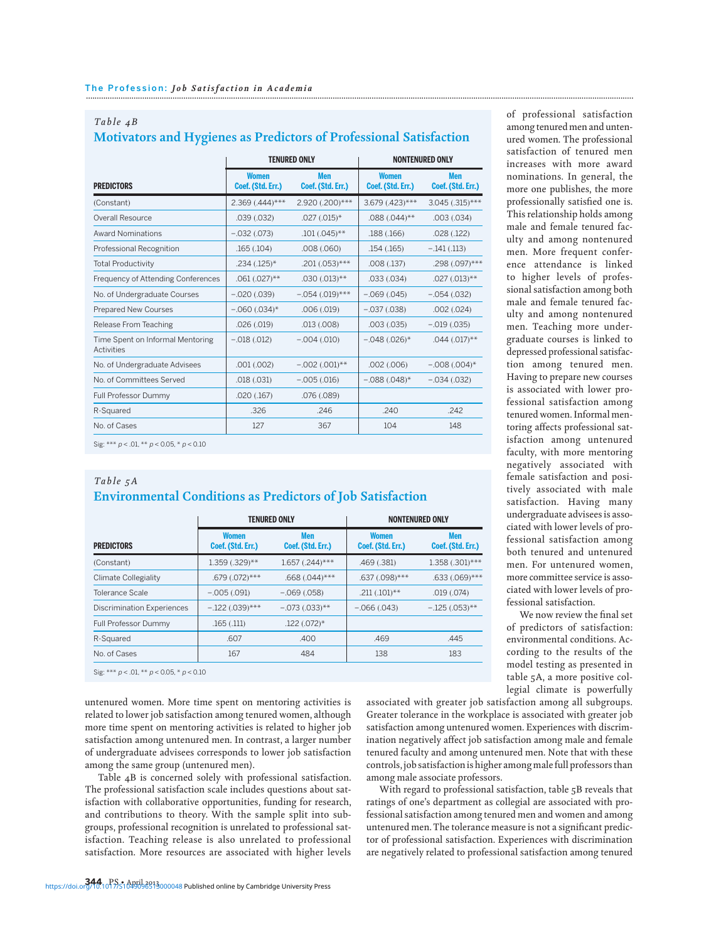| Table $4B$                                                         |  |
|--------------------------------------------------------------------|--|
| Motivators and Hygienes as Predictors of Professional Satisfaction |  |

|                                                |                                   | <b>TENURED ONLY</b>             | <b>NONTENURED ONLY</b>            |                                 |
|------------------------------------------------|-----------------------------------|---------------------------------|-----------------------------------|---------------------------------|
| <b>PREDICTORS</b>                              | <b>Women</b><br>Coef. (Std. Err.) | <b>Men</b><br>Coef. (Std. Err.) | <b>Women</b><br>Coef. (Std. Err.) | <b>Men</b><br>Coef. (Std. Err.) |
| (Constant)                                     | $2.369$ $(.444)^{***}$            | 2.920 (.200)***                 | 3.679 (.423)***                   | $3.045(.315)$ ***               |
| <b>Overall Resource</b>                        | .039(.032)                        | $.027(.015)$ *                  | $.088(.044)$ **                   | $.003$ $(.034)$                 |
| <b>Award Nominations</b>                       | $-.032(.073)$                     | $.101(.045)$ **                 | .188 (.166)                       | .028(.122)                      |
| <b>Professional Recognition</b>                | .165(.104)                        | .008(.060)                      | .154(.165)                        | $-.141(.113)$                   |
| <b>Total Productivity</b>                      | $.234(.125)$ *                    | $.201(.053)$ ***                | .008(.137)                        | .298 (.097)***                  |
| Frequency of Attending Conferences             | $.061(.027)$ **                   | $.030(.013)$ **                 | .033(.034)                        | $.027(.013)$ **                 |
| No. of Undergraduate Courses                   | $-0.020$ $(0.039)$                | $-.054(.019)$ ***               | $-0.069$ $(0.045)$                | $-.054(.032)$                   |
| <b>Prepared New Courses</b>                    | $-0.060$ $(0.034)$ *              | .006(.019)                      | $-.037(.038)$                     | .002(.024)                      |
| Release From Teaching                          | .026(.019)                        | .013(.008)                      | .003(.035)                        | $-.019(.035)$                   |
| Time Spent on Informal Mentoring<br>Activities | $-.018(.012)$                     | $-0.004$ $(0.010)$              | $-.048(.026)$ *                   | $.044$ $(.017)$ **              |
| No. of Undergraduate Advisees                  | .001(.002)                        | $-0.002$ $(0.001)$ **           | .002(.006)                        | $-.008(.004)$ *                 |
| No. of Committees Served                       | .018(.031)                        | $-0.005(0.016)$                 | $-.088(.048)$ *                   | $-.034(.032)$                   |
| Full Professor Dummy                           | .020(.167)                        | .076(.089)                      |                                   |                                 |
| R-Squared                                      | .326                              | .246                            | .240                              | .242                            |
| No. of Cases                                   | 127                               | 367                             | 104                               | 148                             |

Sig: \*\*\*  $p < .01$ , \*\*  $p < 0.05$ , \*  $p < 0.10$ 

## *Table 5A* **Environmental Conditions as Predictors of Job Satisfaction**

|                                                                       |                                   | <b>TENURED ONLY</b>      |                                   | <b>NONTENURED ONLY</b>          |  |
|-----------------------------------------------------------------------|-----------------------------------|--------------------------|-----------------------------------|---------------------------------|--|
| <b>PREDICTORS</b>                                                     | <b>Women</b><br>Coef. (Std. Err.) | Men<br>Coef. (Std. Err.) | <b>Women</b><br>Coef. (Std. Err.) | <b>Men</b><br>Coef. (Std. Err.) |  |
| (Constant)                                                            | 1.359 (.329)**                    | $1.657$ $(.244)$ ***     | .469 (.381)                       | 1.358 (.301)***                 |  |
| Climate Collegiality                                                  | $.679$ $(.072)$ ***               | $.668(.044)$ ***         | .637 (.098)***                    | $.633(.069)$ ***                |  |
| Tolerance Scale                                                       | $-.005(.091)$                     | $-0.069$ $(0.058)$       | $.211(.101)$ **                   | .019(.074)                      |  |
| <b>Discrimination Experiences</b>                                     | $-.122(.039)$ ***                 | $-.073(.033)$ **         | $-.066(.043)$                     | $-125(.053)$ **                 |  |
| Full Professor Dummy                                                  | .165(.111)                        | $.122(.072)$ *           |                                   |                                 |  |
| R-Squared                                                             | .607                              | .400                     | .469                              | .445                            |  |
| No. of Cases                                                          | 167                               | 484                      | 138                               | 183                             |  |
| $C_{101}$ $*$ $*$ $*$ $*$ $\sim$ 01 $*$ $*$ $\sim$ 005 $*$ $\sim$ 010 |                                   |                          |                                   |                                 |  |

 $p < .01$ , \*\*  $p < 0.05$ , \*  $p < 0.10$ 

untenured women. More time spent on mentoring activities is related to lower job satisfaction among tenured women, although more time spent on mentoring activities is related to higher job satisfaction among untenured men. In contrast, a larger number of undergraduate advisees corresponds to lower job satisfaction among the same group (untenured men).

Table 4B is concerned solely with professional satisfaction. The professional satisfaction scale includes questions about satisfaction with collaborative opportunities, funding for research, and contributions to theory. With the sample split into subgroups, professional recognition is unrelated to professional satisfaction. Teaching release is also unrelated to professional satisfaction. More resources are associated with higher levels

of professional satisfaction among tenured men and untenured women. The professional satisfaction of tenured men increases with more award nominations. In general, the more one publishes, the more professionally satisfied one is. This relationship holds among male and female tenured faculty and among nontenured men. More frequent conference attendance is linked to higher levels of professional satisfaction among both male and female tenured faculty and among nontenured men. Teaching more undergraduate courses is linked to depressed professional satisfaction among tenured men. Having to prepare new courses is associated with lower professional satisfaction among tenured women. Informal mentoring affects professional satisfaction among untenured faculty, with more mentoring negatively associated with female satisfaction and positively associated with male satisfaction. Having many undergraduate advisees is associated with lower levels of professional satisfaction among both tenured and untenured men. For untenured women, more committee service is associated with lower levels of professional satisfaction.

We now review the final set of predictors of satisfaction: environmental conditions. According to the results of the model testing as presented in table 5A, a more positive collegial climate is powerfully

associated with greater job satisfaction among all subgroups. Greater tolerance in the workplace is associated with greater job satisfaction among untenured women. Experiences with discrimination negatively affect job satisfaction among male and female tenured faculty and among untenured men. Note that with these controls, job satisfaction is higher among male full professors than among male associate professors.

With regard to professional satisfaction, table 5B reveals that ratings of one's department as collegial are associated with professional satisfaction among tenured men and women and among untenured men. The tolerance measure is not a significant predictor of professional satisfaction. Experiences with discrimination are negatively related to professional satisfaction among tenured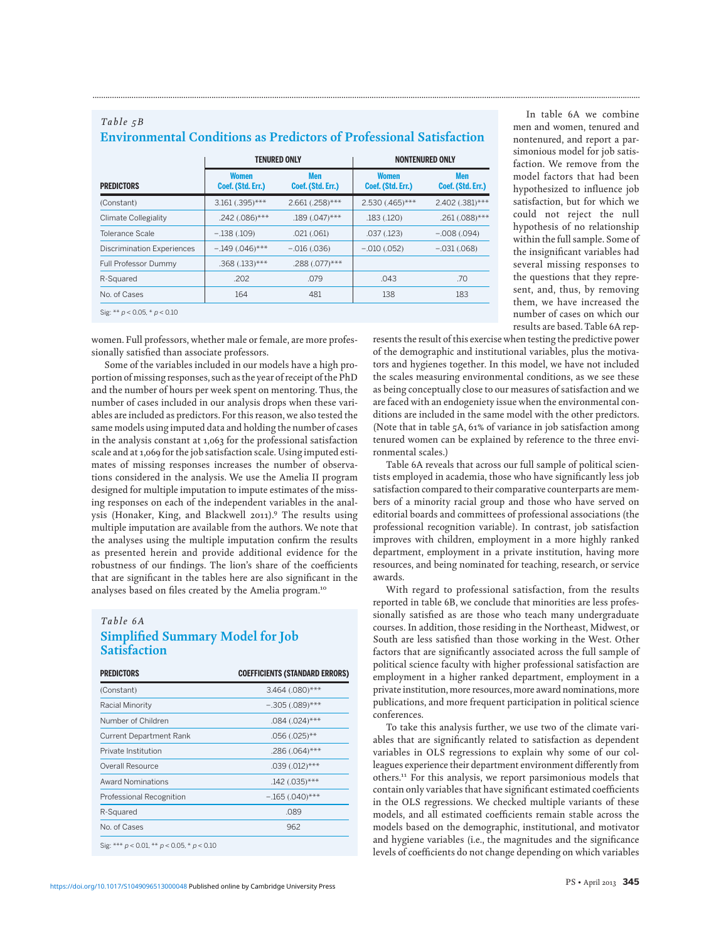| Men<br>Coef. (Std. Err.)<br>2.661 (.258)***<br>$.189(.047)$ ***<br>.021(.061) | <b>Women</b><br>Coef. (Std. Err.)<br>2.530 (.465)***<br>.183(.120)<br>.037(.123) | <b>Men</b><br>Coef. (Std. Err.)<br>$-0.008$ (.094) |
|-------------------------------------------------------------------------------|----------------------------------------------------------------------------------|----------------------------------------------------|
|                                                                               |                                                                                  | 2.402 (.381)***                                    |
|                                                                               |                                                                                  | $.261(.088)$ ***                                   |
|                                                                               |                                                                                  |                                                    |
|                                                                               |                                                                                  |                                                    |
| $-0.016(0.036)$                                                               | $-.010(.052)$                                                                    | $-.031(.068)$                                      |
| $.288(.077)$ ***                                                              |                                                                                  |                                                    |
| .079                                                                          | .043                                                                             | .70                                                |
| 481                                                                           | 138                                                                              | 183                                                |
|                                                                               |                                                                                  |                                                    |

**Environmental Conditions as Predictors of Professional Satisfaction**

**.............................................................................................................................................................................................................................................................**

women. Full professors, whether male or female, are more professionally satisfied than associate professors.

Some of the variables included in our models have a high proportion of missing responses, such as the year of receipt of the PhD and the number of hours per week spent on mentoring. Thus, the number of cases included in our analysis drops when these variables are included as predictors. For this reason, we also tested the same models using imputed data and holding the number of cases in the analysis constant at 1,063 for the professional satisfaction scale and at 1,069 for the job satisfaction scale. Using imputed estimates of missing responses increases the number of observations considered in the analysis. We use the Amelia II program designed for multiple imputation to impute estimates of the missing responses on each of the independent variables in the analysis (Honaker, King, and Blackwell 2011).9 The results using multiple imputation are available from the authors. We note that the analyses using the multiple imputation confirm the results as presented herein and provide additional evidence for the robustness of our findings. The lion's share of the coefficients that are significant in the tables here are also significant in the analyses based on files created by the Amelia program.10

#### *Table 6A*

*Table 5B*

## **Simplified Summary Model for Job Satisfaction**

| <b>PREDICTORS</b>                                  | <b>COEFFICIENTS (STANDARD ERRORS)</b> |
|----------------------------------------------------|---------------------------------------|
| (Constant)                                         | 3.464 (.080)***                       |
| Racial Minority                                    | $-.305(.089)$ ***                     |
| Number of Children                                 | $.084(.024)$ ***                      |
| <b>Current Department Rank</b>                     | $.056(.025)$ **                       |
| Private Institution                                | $.286(.064)$ ***                      |
| Overall Resource                                   | $.039(.012)$ ***                      |
| <b>Award Nominations</b>                           | $.142(.035)$ ***                      |
| Professional Recognition                           | $-.165(.040)$ ***                     |
| R-Squared                                          | .089                                  |
| No. of Cases                                       | 962                                   |
| Sig: *** $p < 0.01$ , ** $p < 0.05$ , * $p < 0.10$ |                                       |

In table 6A we combine men and women, tenured and nontenured, and report a parsimonious model for job satisfaction. We remove from the model factors that had been hypothesized to influence job satisfaction, but for which we could not reject the null hypothesis of no relationship within the full sample. Some of the insignificant variables had several missing responses to the questions that they represent, and, thus, by removing them, we have increased the number of cases on which our results are based. Table 6A rep-

resents the result of this exercise when testing the predictive power of the demographic and institutional variables, plus the motivators and hygienes together. In this model, we have not included the scales measuring environmental conditions, as we see these as being conceptually close to our measures of satisfaction and we are faced with an endogeniety issue when the environmental conditions are included in the same model with the other predictors. (Note that in table 5A, 61% of variance in job satisfaction among tenured women can be explained by reference to the three environmental scales.)

Table 6A reveals that across our full sample of political scientists employed in academia, those who have significantly less job satisfaction compared to their comparative counterparts are members of a minority racial group and those who have served on editorial boards and committees of professional associations (the professional recognition variable). In contrast, job satisfaction improves with children, employment in a more highly ranked department, employment in a private institution, having more resources, and being nominated for teaching, research, or service awards.

With regard to professional satisfaction, from the results reported in table 6B, we conclude that minorities are less professionally satisfied as are those who teach many undergraduate courses. In addition, those residing in the Northeast, Midwest, or South are less satisfied than those working in the West. Other factors that are significantly associated across the full sample of political science faculty with higher professional satisfaction are employment in a higher ranked department, employment in a private institution, more resources, more award nominations, more publications, and more frequent participation in political science conferences.

To take this analysis further, we use two of the climate variables that are significantly related to satisfaction as dependent variables in OLS regressions to explain why some of our colleagues experience their department environment differently from others.11 For this analysis, we report parsimonious models that contain only variables that have significant estimated coefficients in the OLS regressions. We checked multiple variants of these models, and all estimated coefficients remain stable across the models based on the demographic, institutional, and motivator and hygiene variables (i.e., the magnitudes and the significance levels of coefficients do not change depending on which variables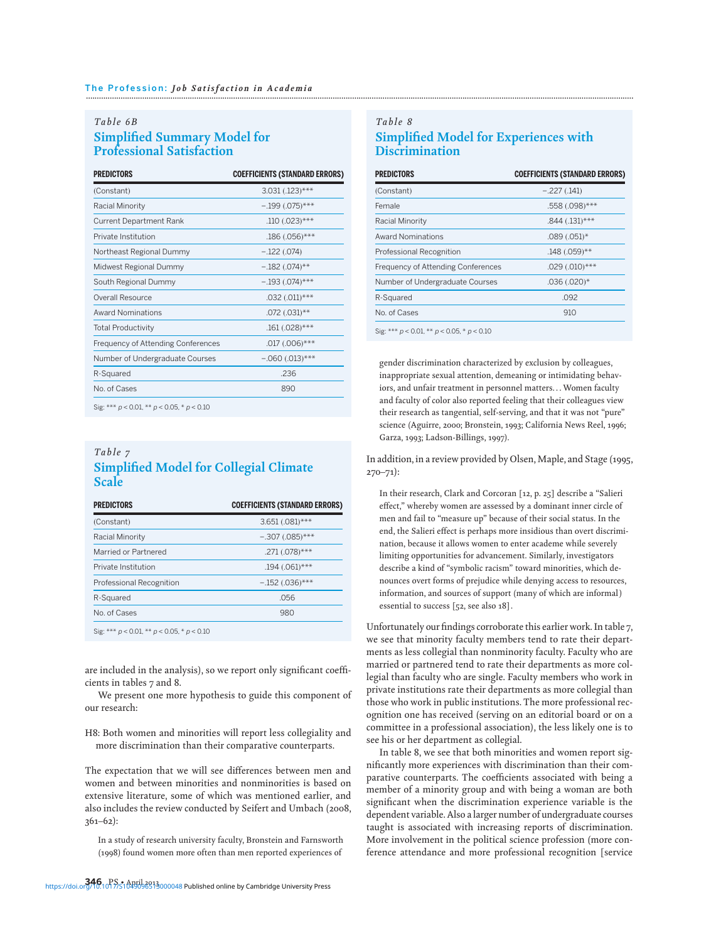## *Table 6B* **Simplified Summary Model for Professional Satisfaction**

| <b>PREDICTORS</b>                  | <b>COEFFICIENTS (STANDARD ERRORS)</b> |
|------------------------------------|---------------------------------------|
| (Constant)                         | $3.031(.123)$ ***                     |
| Racial Minority                    | $-.199(.075)$ ***                     |
| <b>Current Department Rank</b>     | $.110(.023)$ ***                      |
| Private Institution                | $.186(.056)$ ***                      |
| Northeast Regional Dummy           | $-.122(.074)$                         |
| Midwest Regional Dummy             | $-.182(.074)$ **                      |
| South Regional Dummy               | $-.193(.074)$ ***                     |
| Overall Resource                   | $.032(.011)$ ***                      |
| <b>Award Nominations</b>           | $.072(.031)$ **                       |
| <b>Total Productivity</b>          | $.161(.028)$ ***                      |
| Frequency of Attending Conferences | $.017(.006)$ ***                      |
| Number of Undergraduate Courses    | $-.060(.013)$ ***                     |
| R-Squared                          | .236                                  |
| No of Cases                        | 890                                   |

Sig: \*\*\* p < 0.01, \*\* p < 0.05, \* p < 0.10

## *Table 7* **Simplified Model for Collegial Climate Scale**

| <b>PREDICTORS</b>                                  | <b>COEFFICIENTS (STANDARD ERRORS)</b> |
|----------------------------------------------------|---------------------------------------|
| (Constant)                                         | $3.651(.081)$ ***                     |
| Racial Minority                                    | $-.307(.085)$ ***                     |
| Married or Partnered                               | $.271(.078)$ ***                      |
| Private Institution                                | $.194(.061)$ ***                      |
| Professional Recognition                           | $-.152(.036)$ ***                     |
| R-Squared                                          | .056                                  |
| No. of Cases                                       | 980                                   |
| Sig: *** $p < 0.01$ , ** $p < 0.05$ , * $p < 0.10$ |                                       |

are included in the analysis), so we report only significant coefficients in tables 7 and 8.

We present one more hypothesis to guide this component of our research:

H8: Both women and minorities will report less collegiality and more discrimination than their comparative counterparts.

The expectation that we will see differences between men and women and between minorities and nonminorities is based on extensive literature, some of which was mentioned earlier, and also includes the review conducted by Seifert and Umbach (2008, 361–62):

In a study of research university faculty, Bronstein and Farnsworth (1998) found women more often than men reported experiences of

## *Table 8* **Simplified Model for Experiences with Discrimination**

| <b>PREDICTORS</b>                                         | <b>COEFFICIENTS (STANDARD ERRORS)</b> |
|-----------------------------------------------------------|---------------------------------------|
| (Constant)                                                | $-.227(.141)$                         |
| Female                                                    | .558 (.098)***                        |
| Racial Minority                                           | $.844$ $(.131)$ ***                   |
| <b>Award Nominations</b>                                  | $.089(.051)$ *                        |
| Professional Recognition                                  | $.148(.059)$ **                       |
| Frequency of Attending Conferences                        | $.029(.010)$ ***                      |
| Number of Undergraduate Courses                           | $.036(.020)$ *                        |
| R-Squared                                                 | .092                                  |
| No. of Cases                                              | 910                                   |
| $\sin x + 1$ $n \le 0.01 + 1.5$ $n \le 0.05 + n \le 0.10$ |                                       |

Sig: \*\*\* p < 0.01, \*\* p < 0.05, \* p < 0.10

gender discrimination characterized by exclusion by colleagues, inappropriate sexual attention, demeaning or intimidating behaviors, and unfair treatment in personnel matters. . . Women faculty and faculty of color also reported feeling that their colleagues view their research as tangential, self-serving, and that it was not "pure" science (Aguirre, 2000; Bronstein, 1993; California News Reel, 1996; Garza, 1993; Ladson-Billings, 1997).

In addition, in a review provided by Olsen, Maple, and Stage (1995, 270–71):

In their research, Clark and Corcoran [12, p. 25] describe a "Salieri effect," whereby women are assessed by a dominant inner circle of men and fail to "measure up" because of their social status. In the end, the Salieri effect is perhaps more insidious than overt discrimination, because it allows women to enter academe while severely limiting opportunities for advancement. Similarly, investigators describe a kind of "symbolic racism" toward minorities, which denounces overt forms of prejudice while denying access to resources, information, and sources of support (many of which are informal ) essential to success [52, see also 18].

Unfortunately our findings corroborate this earlier work. In table 7, we see that minority faculty members tend to rate their departments as less collegial than nonminority faculty. Faculty who are married or partnered tend to rate their departments as more collegial than faculty who are single. Faculty members who work in private institutions rate their departments as more collegial than those who work in public institutions. The more professional recognition one has received (serving on an editorial board or on a committee in a professional association), the less likely one is to see his or her department as collegial.

In table 8, we see that both minorities and women report significantly more experiences with discrimination than their comparative counterparts. The coefficients associated with being a member of a minority group and with being a woman are both significant when the discrimination experience variable is the dependent variable. Also a larger number of undergraduate courses taught is associated with increasing reports of discrimination. More involvement in the political science profession (more conference attendance and more professional recognition [service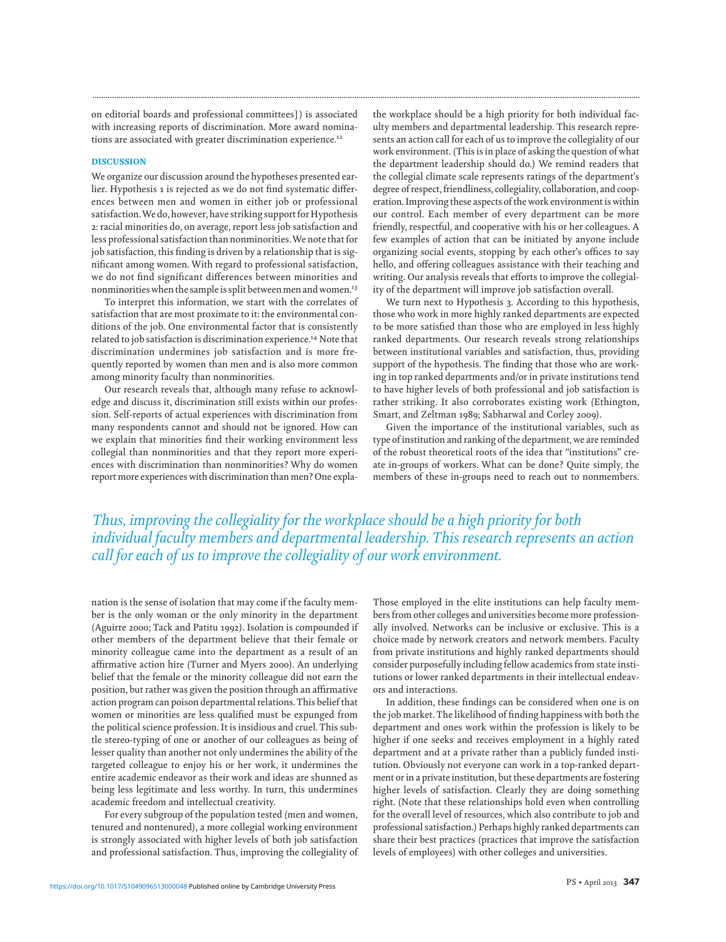on editorial boards and professional committees] ) is associated with increasing reports of discrimination. More award nominations are associated with greater discrimination experience.<sup>12</sup>

#### DISCUSSION

We organize our discussion around the hypotheses presented earlier. Hypothesis 1 is rejected as we do not find systematic differences between men and women in either job or professional satisfaction.We do, however, have striking support for Hypothesis 2: racial minorities do, on average, report less job satisfaction and less professional satisfaction than nonminorities.We note that for job satisfaction, this finding is driven by a relationship that is significant among women. With regard to professional satisfaction, we do not find significant differences between minorities and nonminorities when the sample is split between men and women.<sup>13</sup>

To interpret this information, we start with the correlates of satisfaction that are most proximate to it: the environmental conditions of the job. One environmental factor that is consistently related to job satisfaction is discrimination experience.<sup>14</sup> Note that discrimination undermines job satisfaction and is more frequently reported by women than men and is also more common among minority faculty than nonminorities.

Our research reveals that, although many refuse to acknowledge and discuss it, discrimination still exists within our profession. Self-reports of actual experiences with discrimination from many respondents cannot and should not be ignored. How can we explain that minorities find their working environment less collegial than nonminorities and that they report more experiences with discrimination than nonminorities? Why do women report more experiences with discrimination than men? One expla-

the workplace should be a high priority for both individual faculty members and departmental leadership. This research represents an action call for each of us to improve the collegiality of our work environment. (This is in place of asking the question of what the department leadership should do.) We remind readers that the collegial climate scale represents ratings of the department's degree of respect, friendliness, collegiality, collaboration, and cooperation. Improving these aspects of the work environment is within our control. Each member of every department can be more friendly, respectful, and cooperative with his or her colleagues. A few examples of action that can be initiated by anyone include organizing social events, stopping by each other's offices to say hello, and offering colleagues assistance with their teaching and writing. Our analysis reveals that efforts to improve the collegiality of the department will improve job satisfaction overall.

We turn next to Hypothesis 3. According to this hypothesis, those who work in more highly ranked departments are expected to be more satisfied than those who are employed in less highly ranked departments. Our research reveals strong relationships between institutional variables and satisfaction, thus, providing support of the hypothesis. The finding that those who are working in top ranked departments and/or in private institutions tend to have higher levels of both professional and job satisfaction is rather striking. It also corroborates existing work (Ethington, Smart, and Zeltman 1989; Sabharwal and Corley 2009).

Given the importance of the institutional variables, such as type of institution and ranking of the department, we are reminded of the robust theoretical roots of the idea that "institutions" create in-groups of workers. What can be done? Quite simply, the members of these in-groups need to reach out to nonmembers.

*Thus, improving the collegiality for the workplace should be a high priority for both individual faculty members and departmental leadership. This research represents an action call for each of us to improve the collegiality of our work environment.*

**.............................................................................................................................................................................................................................................................**

nation is the sense of isolation that may come if the faculty member is the only woman or the only minority in the department (Aguirre 2000; Tack and Patitu 1992). Isolation is compounded if other members of the department believe that their female or minority colleague came into the department as a result of an affirmative action hire (Turner and Myers 2000). An underlying belief that the female or the minority colleague did not earn the position, but rather was given the position through an affirmative action program can poison departmental relations.This belief that women or minorities are less qualified must be expunged from the political science profession. It is insidious and cruel. This subtle stereo-typing of one or another of our colleagues as being of lesser quality than another not only undermines the ability of the targeted colleague to enjoy his or her work, it undermines the entire academic endeavor as their work and ideas are shunned as being less legitimate and less worthy. In turn, this undermines academic freedom and intellectual creativity.

For every subgroup of the population tested (men and women, tenured and nontenured), a more collegial working environment is strongly associated with higher levels of both job satisfaction and professional satisfaction. Thus, improving the collegiality of Those employed in the elite institutions can help faculty members from other colleges and universities become more professionally involved. Networks can be inclusive or exclusive. This is a choice made by network creators and network members. Faculty from private institutions and highly ranked departments should consider purposefully including fellow academics from state institutions or lower ranked departments in their intellectual endeavors and interactions.

In addition, these findings can be considered when one is on the job market. The likelihood of finding happiness with both the department and ones work within the profession is likely to be higher if one seeks and receives employment in a highly rated department and at a private rather than a publicly funded institution. Obviously not everyone can work in a top-ranked department or in a private institution, but these departments are fostering higher levels of satisfaction. Clearly they are doing something right. (Note that these relationships hold even when controlling for the overall level of resources, which also contribute to job and professional satisfaction.) Perhaps highly ranked departments can share their best practices (practices that improve the satisfaction levels of employees) with other colleges and universities.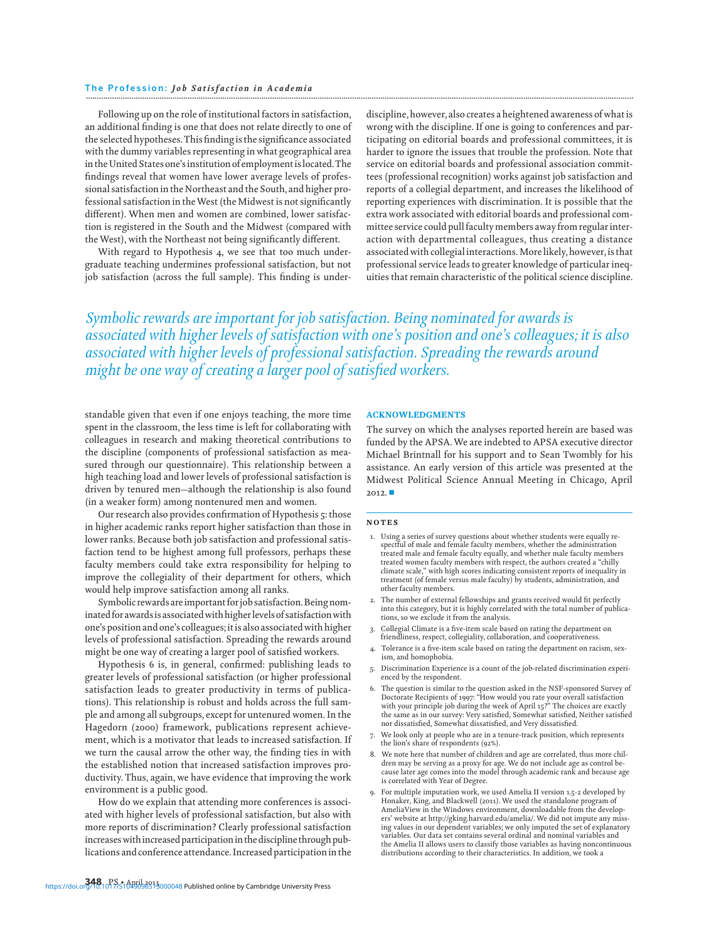Following up on the role of institutional factors in satisfaction, an additional finding is one that does not relate directly to one of the selected hypotheses.This findingis the significance associated with the dummy variables representing in what geographical area in the United States one's institution of employment is located. The findings reveal that women have lower average levels of professional satisfaction in the Northeast and the South, and higher professional satisfaction in theWest (the Midwest is not significantly different). When men and women are combined, lower satisfaction is registered in the South and the Midwest (compared with theWest), with the Northeast not being significantly different.

With regard to Hypothesis 4, we see that too much undergraduate teaching undermines professional satisfaction, but not job satisfaction (across the full sample). This finding is underdiscipline, however, also creates a heightened awareness of what is wrong with the discipline. If one is going to conferences and participating on editorial boards and professional committees, it is harder to ignore the issues that trouble the profession. Note that service on editorial boards and professional association committees (professional recognition) works against job satisfaction and reports of a collegial department, and increases the likelihood of reporting experiences with discrimination. It is possible that the extra work associated with editorial boards and professional committee service could pull faculty members away from regularinteraction with departmental colleagues, thus creating a distance associated with collegial interactions.More likely, however, is that professional service leads to greater knowledge of particular inequities that remain characteristic of the political science discipline.

*Symbolic rewards are important for job satisfaction. Being nominated for awards is associated with higher levels of satisfaction with one's position and one's colleagues; it is also associated with higher levels of professional satisfaction. Spreading the rewards around might be one way of creating a larger pool of satisfied workers.*

standable given that even if one enjoys teaching, the more time spent in the classroom, the less time is left for collaborating with colleagues in research and making theoretical contributions to the discipline (components of professional satisfaction as measured through our questionnaire). This relationship between a high teaching load and lower levels of professional satisfaction is driven by tenured men—although the relationship is also found (in a weaker form) among nontenured men and women.

Our research also provides confirmation of Hypothesis 5: those in higher academic ranks report higher satisfaction than those in lower ranks. Because both job satisfaction and professional satisfaction tend to be highest among full professors, perhaps these faculty members could take extra responsibility for helping to improve the collegiality of their department for others, which would help improve satisfaction among all ranks.

Symbolic rewards are important for job satisfaction. Being nominated for awards is associated with higher levels of satisfaction with one's position and one's colleagues;itis also associated with higher levels of professional satisfaction. Spreading the rewards around might be one way of creating a larger pool of satisfied workers.

Hypothesis 6 is, in general, confirmed: publishing leads to greater levels of professional satisfaction (or higher professional satisfaction leads to greater productivity in terms of publications). This relationship is robust and holds across the full sample and among all subgroups, except for untenured women. In the Hagedorn (2000) framework, publications represent achievement, which is a motivator that leads to increased satisfaction. If we turn the causal arrow the other way, the finding ties in with the established notion that increased satisfaction improves productivity. Thus, again, we have evidence that improving the work environment is a public good.

How do we explain that attending more conferences is associated with higher levels of professional satisfaction, but also with more reports of discrimination? Clearly professional satisfaction increases with increased participation in the discipline through publications and conference attendance. Increased participation in the

#### ACKNOWLEDGMENTS

The survey on which the analyses reported herein are based was funded by the APSA.We are indebted to APSA executive director Michael Brintnall for his support and to Sean Twombly for his assistance. An early version of this article was presented at the Midwest Political Science Annual Meeting in Chicago, April  $2012.$   $\blacksquare$ 

#### NOTES

- 1. Using a series of survey questions about whether students were equally respectful of male and female faculty members, whether the administration treated male and female faculty equally, and whether male faculty members treated women faculty members with respect, the authors created a "chilly climate scale," with high scores indicating consistent reports of inequality in treatment (of female versus male faculty) by students, administration, and other faculty members.
- 2. The number of external fellowships and grants received would fit perfectly into this category, but it is highly correlated with the total number of publications, so we exclude it from the analysis.
- 3. Collegial Climate is a five-item scale based on rating the department on friendliness, respect, collegiality, collaboration, and cooperativeness.
- 4. Tolerance is a five-item scale based on rating the department on racism, sexism, and homophobia.
- 5. Discrimination Experience is a count of the job-related discrimination experienced by the respondent.
- 6. The question is similar to the question asked in the NSF-sponsored Survey of Doctorate Recipients of 1997: "How would you rate your overall satisfaction with your principle job during the week of April 15?" The choices are exactly the same as in our survey: Very satisfied, Somewhat satisfied, Neither satisfied nor dissatisfied, Somewhat dissatisfied, and Very dissatisfied.
- 7. We look only at people who are in a tenure-track position, which represents the lion's share of respondents (92%).
- 8. We note here that number of children and age are correlated, thus more children may be serving as a proxy for age. We do not include age as control because later age comes into the model through academic rank and because age is correlated with Year of Degree.
- 9. For multiple imputation work, we used Amelia II version 1.5-2 developed by Honaker, King, and Blackwell (2011). We used the standalone program of AmeliaView in the Windows environment, downloadable from the developers' website at http://gking.harvard.edu/amelia/. We did not impute any missing values in our dependent variables; we only imputed the set of explanatory variables. Our data set contains several ordinal and nominal variables and the Amelia II allows users to classify those variables as having noncontinuous distributions according to their characteristics. In addition, we took a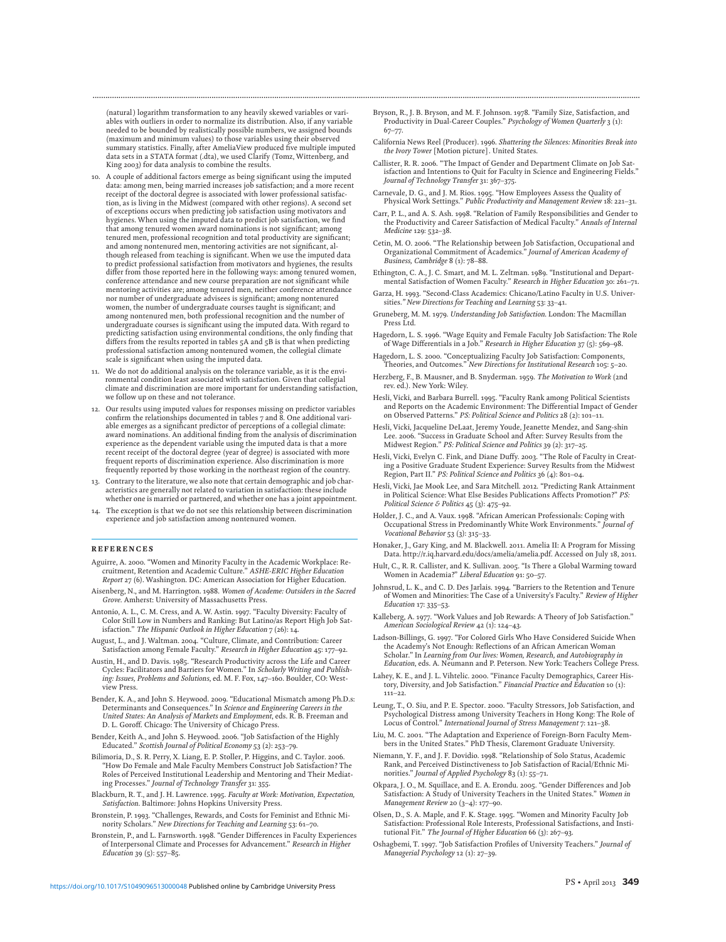(natural) logarithm transformation to any heavily skewed variables or variables with outliers in order to normalize its distribution. Also, if any variable needed to be bounded by realistically possible numbers, we assigned bounds (maximum and minimum values) to those variables using their observed summary statistics. Finally, after AmeliaView produced five multiple imputed data sets in a STATA format (.dta), we used Clarify (Tomz, Wittenberg, and King 2003) for data analysis to combine the results.

- 10. A couple of additional factors emerge as being significant using the imputed data: among men, being married increases job satisfaction; and a more recent receipt of the doctoral degree is associated with lower professional satisfaction, as is living in the Midwest (compared with other regions). A second set of exceptions occurs when predicting job satisfaction using motivators and hygienes. When using the imputed data to predict job satisfaction, we find that among tenured women award nominations is not significant; among tenured men, professional recognition and total productivity are significant; and among nontenured men, mentoring activities are not significant, although released from teaching is significant. When we use the imputed data to predict professional satisfaction from motivators and hygienes, the results differ from those reported here in the following ways: among tenured women, conference attendance and new course preparation are not significant while mentoring activities are; among tenured men, neither conference attendance nor number of undergraduate advisees is significant; among nontenured women, the number of undergraduate courses taught is significant; and among nontenured men, both professional recognition and the number of undergraduate courses is significant using the imputed data. With regard to predicting satisfaction using environmental conditions, the only finding that differs from the results reported in tables 5A and 5B is that when predicting professional satisfaction among nontenured women, the collegial climate scale is significant when using the imputed data.
- 11. We do not do additional analysis on the tolerance variable, as it is the environmental condition least associated with satisfaction. Given that collegial climate and discrimination are more important for understanding satisfaction, we follow up on these and not tolerance.
- 12. Our results using imputed values for responses missing on predictor variables confirm the relationships documented in tables  $7$  and  $8$ . One additional variable emerges as a significant predictor of perceptions of a collegial climate: award nominations. An additional finding from the analysis of discrimination experience as the dependent variable using the imputed data is that a more recent receipt of the doctoral degree (year of degree) is associated with more frequent reports of discrimination experience. Also discrimination is more frequently reported by those working in the northeast region of the country.
- 13. Contrary to the literature, we also note that certain demographic and job characteristics are generally not related to variation in satisfaction: these include whether one is married or partnered, and whether one has a joint appointment.
- The exception is that we do not see this relationship between discrimination experience and job satisfaction among nontenured women.

#### **REFERENCES**

- Aguirre, A. 2000. "Women and Minority Faculty in the Academic Workplace: Recruitment, Retention and Academic Culture." *ASHE-ERIC Higher Education Report* 27 (6). Washington. DC: American Association for Higher Education.
- Aisenberg, N., and M. Harrington. 1988. *Women of Academe: Outsiders in the Sacred Grove*. Amherst: University of Massachusetts Press.
- Antonio, A. L., C. M. Cress, and A. W. Astin. 1997. "Faculty Diversity: Faculty of Color Still Low in Numbers and Ranking: But Latino/as Report High Job Satisfaction." *The Hispanic Outlook in Higher Education* 7 (26): 14.
- August, L., and J. Waltman. 2004. "Culture, Climate, and Contribution: Career Satisfaction among Female Faculty." *Research in Higher Education* 45: 177–92.
- Austin, H., and D. Davis. 1985. "Research Productivity across the Life and Career Cycles: Facilitators and Barriers for Women." In *Scholarly Writing and Publishing: Issues, Problems and Solutions*, ed. M. F. Fox, 147–160. Boulder, CO: Westview Press.
- Bender, K. A., and John S. Heywood. 2009. "Educational Mismatch among Ph.D.s: Determinants and Consequences." In *Science and Engineering Careers in the United States: An Analysis of Markets and Employment*, eds. R. B. Freeman and D. L. Goroff. Chicago: The University of Chicago Press.
- Bender, Keith A., and John S. Heywood. 2006. "Job Satisfaction of the Highly Educated." *Scottish Journal of Political Economy* 53 (2): 253–79.
- Bilimoria, D., S. R. Perry, X. Liang, E. P. Stoller, P. Higgins, and C. Taylor. 2006. "How Do Female and Male Faculty Members Construct Job Satisfaction? The Roles of Perceived Institutional Leadership and Mentoring and Their Mediating Processes." *Journal of Technology Transfer* 31: 355.
- Blackburn, R. T., and J. H. Lawrence. 1995. *Faculty at Work: Motivation, Expectation, Satisfaction*. Baltimore: Johns Hopkins University Press.
- Bronstein, P. 1993. "Challenges, Rewards, and Costs for Feminist and Ethnic Minority Scholars." *New Directions for Teaching and Learning* 53: 61–70.
- Bronstein, P., and L. Farnsworth. 1998. "Gender Differences in Faculty Experiences of Interpersonal Climate and Processes for Advancement." *Research in Higher Education* 39 (5): 557–85.

Bryson, R., J. B. Bryson, and M. F. Johnson. 1978. "Family Size, Satisfaction, and Productivity in Dual-Career Couples." *Psychology of Women Quarterly* 3 (1): 67–77.

**.............................................................................................................................................................................................................................................................**

- California News Reel (Producer). 1996. *Shattering the Silences: Minorities Break into the Ivory Tower* [Motion picture]. United States.
- Callister, R. R. 2006. "The Impact of Gender and Department Climate on Job Satisfaction and Intentions to Quit for Faculty in Science and Engineering Fields." *Journal of Technology Transfer* 31: 367–375.
- Carnevale, D. G., and J. M. Rios. 1995. "How Employees Assess the Quality of Physical Work Settings." *Public Productivity and Management Review* 18: 221–31.
- Carr, P. L., and A. S. Ash. 1998. "Relation of Family Responsibilities and Gender to the Productivity and Career Satisfaction of Medical Faculty." *Annals of Internal Medicine* 129: 532–38.
- Cetin, M. O. 2006. "The Relationship between Job Satisfaction, Occupational and Organizational Commitment of Academics." *Journal of American Academy of Business, Cambridge* 8 (1): 78–88.
- Ethington, C. A., J. C. Smart, and M. L. Zeltman. 1989. "Institutional and Departmental Satisfaction of Women Faculty." *Research in Higher Education* 30: 261–71.
- Garza, H. 1993. "Second-Class Academics: Chicano/Latino Faculty in U.S. Universities*." New Directions for Teaching and Learning* 53: 33–41.
- Gruneberg, M. M. 1979*. Understanding Job Satisfaction*. London: The Macmillan Press Ltd.
- Hagedorn, L. S. 1996. "Wage Equity and Female Faculty Job Satisfaction: The Role of Wage Differentials in a Job." *Research in Higher Education* 37 (5): 569–98.
- Hagedorn, L. S. 2000. "Conceptualizing Faculty Job Satisfaction: Components, Theories, and Outcomes." *New Directions for Institutional Research* 105: 5–20.
- Herzberg, F., B. Mausner, and B. Snyderman. 1959. *The Motivation to Work* (2nd rev. ed.). New York: Wiley.
- Hesli, Vicki, and Barbara Burrell. 1995. "Faculty Rank among Political Scientists and Reports on the Academic Environment: The Differential Impact of Gender on Observed Patterns." *PS: Political Science and Politics* 28 (2): 101–11.
- Hesli, Vicki, Jacqueline DeLaat, Jeremy Youde, Jeanette Mendez, and Sang-shin Lee. 2006. "Success in Graduate School and After: Survey Results from the Midwest Region." *PS: Political Science and Politics* 39 (2): 317–25.
- Hesli, Vicki, Evelyn C. Fink, and Diane Duffy. 2003. "The Role of Faculty in Creating a Positive Graduate Student Experience: Survey Results from the Midwest Region, Part II." *PS: Political Science and Politics* 36 (4): 801–04.
- Hesli, Vicki, Jae Mook Lee, and Sara Mitchell. 2012. "Predicting Rank Attainment in Political Science: What Else Besides Publications Affects Promotion?" *PS: Political Science & Politics* 45 (3): 475–92.
- Holder, J. C., and A. Vaux. 1998. "African American Professionals: Coping with Occupational Stress in Predominantly White Work Environments." *Journal of Vocational Behavior* 53 (3): 315–33.
- Honaker, J., Gary King, and M. Blackwell. 2011. Amelia II: A Program for Missing Data. http://r.iq.harvard.edu/docs/amelia/amelia.pdf. Accessed on July 18, 2011.
- Hult, C., R. R. Callister, and K. Sullivan. 2005. "Is There a Global Warming toward Women in Academia?" *Liberal Education* 91: 50–57.
- Johnsrud, L. K., and C. D. Des Jarlais. 1994. "Barriers to the Retention and Tenure of Women and Minorities: The Case of a University's Faculty." *Review of Higher Education* 17: 335–53.
- Kalleberg, A. 1977. "Work Values and Job Rewards: A Theory of Job Satisfaction." *American Sociological Review* 42 (1): 124–43.
- Ladson-Billings, G. 1997. "For Colored Girls Who Have Considered Suicide When the Academy's Not Enough: Reflections of an African American Woman Scholar." In *Learning from Our lives: Women, Research, and Autobiography in Education*, eds. A. Neumann and P. Peterson. New York: Teachers College Press.
- Lahey, K. E., and J. L. Vihtelic. 2000. "Finance Faculty Demographics, Career His-tory, Diversity, and Job Satisfaction." *Financial Practice and Education* 10 (1): 111–22.
- Leung, T., O. Siu, and P. E. Spector. 2000. "Faculty Stressors, Job Satisfaction, and Psychological Distress among University Teachers in Hong Kong: The Role of Locus of Control." *International Journal of Stress Management* 7: 121–38.
- Liu, M. C. 2001. "The Adaptation and Experience of Foreign-Born Faculty Members in the United States." PhD Thesis, Claremont Graduate University.
- Niemann, Y. F., and J. F. Dovidio. 1998. "Relationship of Solo Status, Academic Rank, and Perceived Distinctiveness to Job Satisfaction of Racial/Ethnic Minorities." *Journal of Applied Psychology* 83 (1): 55–71.
- Okpara, J. O., M. Squillace, and E. A. Erondu. 2005. "Gender Differences and Job Satisfaction: A Study of University Teachers in the United States." *Women in Management Review* 20 (3–4): 177–90.
- Olsen, D., S. A. Maple, and F. K. Stage. 1995. "Women and Minority Faculty Job Satisfaction: Professional Role Interests, Professional Satisfactions, and Institutional Fit." *The Journal of Higher Education* 66 (3): 267–93.
- Oshagbemi, T. 1997. "Job Satisfaction Profiles of University Teachers." *Journal of Managerial Psychology* 12 (1): 27–39.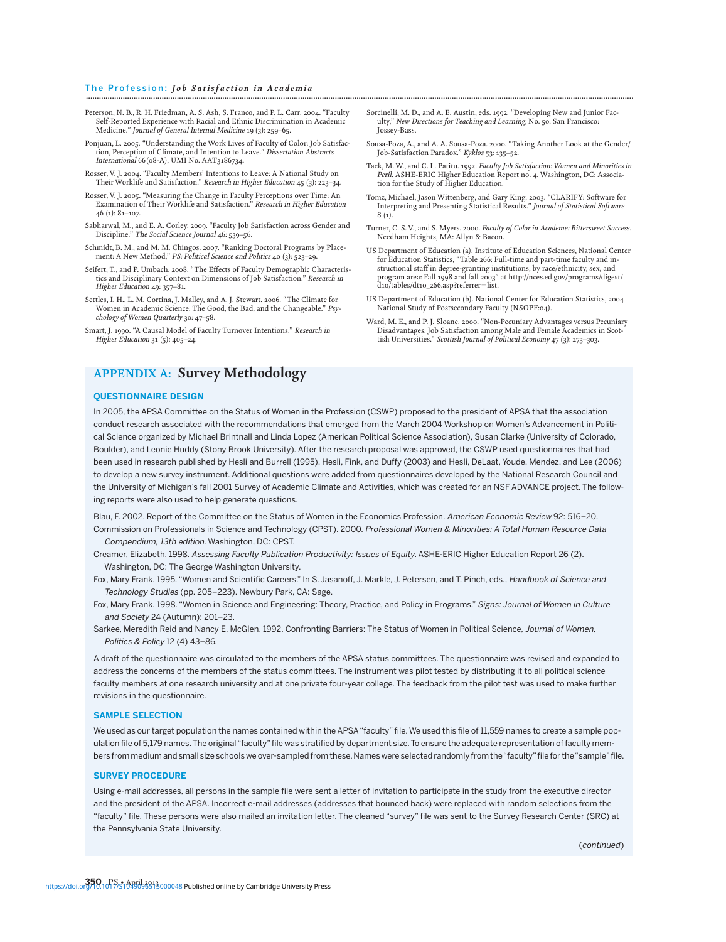- Peterson, N. B., R. H. Friedman, A. S. Ash, S. Franco, and P. L. Carr. 2004. "Faculty Self-Reported Experience with Racial and Ethnic Discrimination in Academic Medicine." *Journal of General Internal Medicine* 19 (3): 259–65.
- Ponjuan, L. 2005. "Understanding the Work Lives of Faculty of Color: Job Satisfaction, Perception of Climate, and Intention to Leave." *Dissertation Abstracts International* 66(08-A), UMI No. AAT3186734.
- Rosser, V. J. 2004. "Faculty Members' Intentions to Leave: A National Study on Their Worklife and Satisfaction." *Research in Higher Education* 45 (3): 223–34.
- Rosser, V. J. 2005. "Measuring the Change in Faculty Perceptions over Time: An Examination of Their Worklife and Satisfaction." *Research in Higher Education* 46 (1): 81–107.
- Sabharwal, M., and E. A. Corley. 2009. "Faculty Job Satisfaction across Gender and Discipline." *The Social Science Journal* 46: 539–56.
- Schmidt, B. M., and M. M. Chingos. 2007. "Ranking Doctoral Programs by Placement: A New Method," *PS: Political Science and Politics* 40 (3): 523–29.
- Seifert, T., and P. Umbach. 2008. "The Effects of Faculty Demographic Characteristics and Disciplinary Context on Dimensions of Job Satisfaction." *Research in Higher Education* 49: 357–81.
- Settles, I. H., L. M. Cortina, J. Malley, and A. J. Stewart. 2006. "The Climate for Women in Academic Science: The Good, the Bad, and the Changeable." *Psychology of Women Quarterly* 30: 47–58.
- Smart, J. 1990. "A Causal Model of Faculty Turnover Intentions." *Research in Higher Education* 31 (5): 405–24.
- Sorcinelli, M. D., and A. E. Austin, eds. 1992. "Developing New and Junior Faculty," *New Directions for Teaching and Learning*, No. 50. San Francisco: Jossey-Bass.
- Sousa-Poza, A., and A. A. Sousa-Poza. 2000. "Taking Another Look at the Gender/ Job-Satisfaction Paradox." *Kyklos* 53: 135–52.
- Tack, M. W., and C. L. Patitu. 1992. *Faculty Job Satisfaction: Women and Minorities in Peril*. ASHE-ERIC Higher Education Report no. 4. Washington, DC: Association for the Study of Higher Education.
- Tomz, Michael, Jason Wittenberg, and Gary King. 2003. "CLARIFY: Software for Interpreting and Presenting Statistical Results." *Journal of Statistical Software* 8 (1).
- Turner, C. S. V., and S. Myers. 2000. *Faculty of Color in Academe: Bittersweet Success*. Needham Heights, MA: Allyn & Bacon.
- US Department of Education (a). Institute of Education Sciences, National Center for Education Statistics, "Table 266: Full-time and part-time faculty and instructional staff in degree-granting institutions, by race/ethnicity, sex, and program area: Fall 1998 and fall 2003" at http://nces.ed.gov/programs/digest/ d10/tables/dt10\_266.asp?referrer-list.
- US Department of Education (b). National Center for Education Statistics, 2004 National Study of Postsecondary Faculty (NSOPF:04).
- Ward, M. E., and P. J. Sloane. 2000. "Non-Pecuniary Advantages versus Pecuniary Disadvantages: Job Satisfaction among Male and Female Academics in Scottish Universities." *Scottish Journal of Political Economy* 47 (3): 273–303.

## **APPENDIX A: Survey Methodology**

#### **QUESTIONNAIRE DESIGN**

In 2005, the APSA Committee on the Status of Women in the Profession (CSWP) proposed to the president of APSA that the association conduct research associated with the recommendations that emerged from the March 2004 Workshop on Women's Advancement in Political Science organized by Michael Brintnall and Linda Lopez (American Political Science Association), Susan Clarke (University of Colorado, Boulder), and Leonie Huddy (Stony Brook University). After the research proposal was approved, the CSWP used questionnaires that had been used in research published by Hesli and Burrell (1995), Hesli, Fink, and Duffy (2003) and Hesli, DeLaat, Youde, Mendez, and Lee (2006) to develop a new survey instrument. Additional questions were added from questionnaires developed by the National Research Council and the University of Michigan's fall 2001 Survey of Academic Climate and Activities, which was created for an NSF ADVANCE project. The following reports were also used to help generate questions.

Blau, F. 2002. Report of the Committee on the Status of Women in the Economics Profession. American Economic Review 92: 516–20. Commission on Professionals in Science and Technology (CPST). 2000. Professional Women & Minorities: A Total Human Resource Data

Compendium, 13th edition. Washington, DC: CPST.

- Creamer, Elizabeth. 1998. Assessing Faculty Publication Productivity: Issues of Equity. ASHE-ERIC Higher Education Report 26 (2). Washington, DC: The George Washington University.
- Fox, Mary Frank. 1995. "Women and Scientific Careers." In S. Jasanoff, J. Markle, J. Petersen, and T. Pinch, eds., Handbook of Science and Technology Studies (pp. 205–223). Newbury Park, CA: Sage.
- Fox, Mary Frank. 1998. "Women in Science and Engineering: Theory, Practice, and Policy in Programs." Signs: Journal of Women in Culture and Society 24 (Autumn): 201–23.
- Sarkee, Meredith Reid and Nancy E. McGlen. 1992. Confronting Barriers: The Status of Women in Political Science, Journal of Women, Politics & Policy 12 (4) 43–86.

A draft of the questionnaire was circulated to the members of the APSA status committees. The questionnaire was revised and expanded to address the concerns of the members of the status committees. The instrument was pilot tested by distributing it to all political science faculty members at one research university and at one private four-year college. The feedback from the pilot test was used to make further revisions in the questionnaire.

#### **SAMPLE SELECTION**

We used as our target population the names contained within the APSA "faculty" file. We used this file of 11,559 names to create a sample population file of 5,179 names. The original "faculty" file was stratified by department size. To ensure the adequate representation of faculty members from medium and small size schools we over-sampled from these. Names were selected randomly from the "faculty" file for the "sample" file.

#### **SURVEY PROCEDURE**

Using e-mail addresses, all persons in the sample file were sent a letter of invitation to participate in the study from the executive director and the president of the APSA. Incorrect e-mail addresses (addresses that bounced back) were replaced with random selections from the "faculty" file. These persons were also mailed an invitation letter. The cleaned "survey" file was sent to the Survey Research Center (SRC) at the Pennsylvania State University.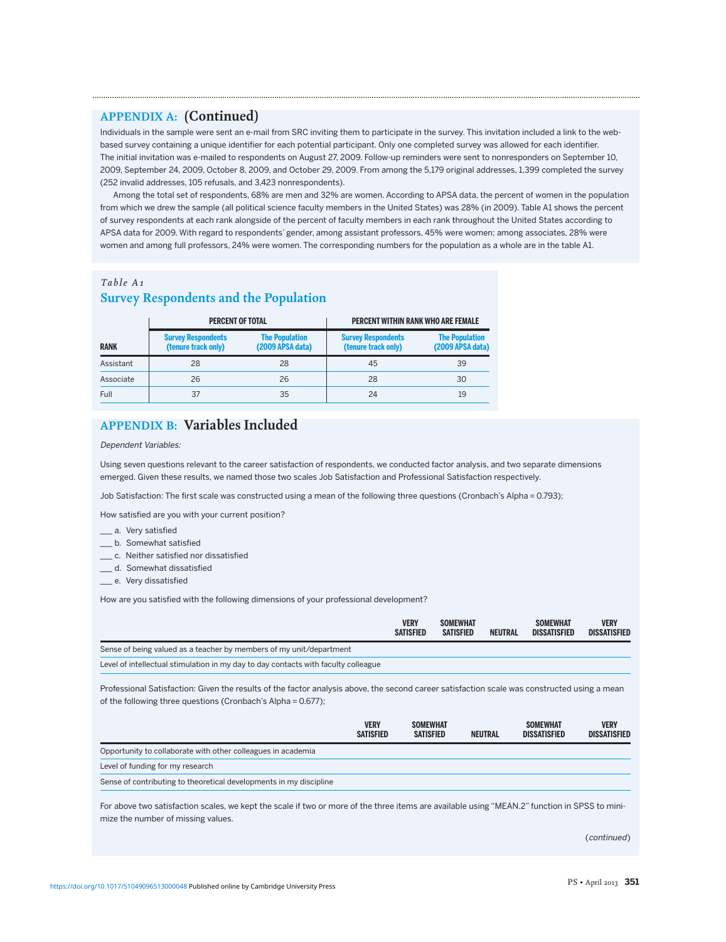## **APPENDIX A: (Continued)**

Individuals in the sample were sent an e-mail from SRC inviting them to participate in the survey. This invitation included a link to the webbased survey containing a unique identifier for each potential participant. Only one completed survey was allowed for each identifier. The initial invitation was e-mailed to respondents on August 27, 2009. Follow-up reminders were sent to nonresponders on September 10, 2009, September 24, 2009, October 8, 2009, and October 29, 2009. From among the 5,179 original addresses, 1,399 completed the survey (252 invalid addresses, 105 refusals, and 3,423 nonrespondents).

**.............................................................................................................................................................................................................................................................**

Among the total set of respondents, 68% are men and 32% are women. According to APSA data, the percent of women in the population from which we drew the sample (all political science faculty members in the United States) was 28% (in 2009). Table A1 shows the percent of survey respondents at each rank alongside of the percent of faculty members in each rank throughout the United States according to APSA data for 2009. With regard to respondents' gender, among assistant professors, 45% were women; among associates, 28% were women and among full professors, 24% were women. The corresponding numbers for the population as a whole are in the table A1.

## *Table A1* **Survey Respondents and the Population**

|             | <b>PERCENT OF TOTAL</b>                          |                                           | <b>PERCENT WITHIN RANK WHO ARE FEMALE</b>        |                                           |  |
|-------------|--------------------------------------------------|-------------------------------------------|--------------------------------------------------|-------------------------------------------|--|
| <b>RANK</b> | <b>Survey Respondents</b><br>(tenure track only) | <b>The Population</b><br>(2009 APSA data) | <b>Survey Respondents</b><br>(tenure track only) | <b>The Population</b><br>(2009 APSA data) |  |
| Assistant   | 28                                               | 28                                        | 45                                               | 39                                        |  |
| Associate   | 26                                               | 26                                        | 28                                               | 30                                        |  |
| <b>Full</b> | 37                                               | 35                                        | 24                                               | 19                                        |  |

## **APPENDIX B: Variables Included**

#### Dependent Variables:

Using seven questions relevant to the career satisfaction of respondents, we conducted factor analysis, and two separate dimensions emerged. Given these results, we named those two scales Job Satisfaction and Professional Satisfaction respectively.

Job Satisfaction: The first scale was constructed using a mean of the following three questions (Cronbach's Alpha = 0.793);

How satisfied are you with your current position?

- \_\_ a. Very satisfied
- \_ b. Somewhat satisfied
- \_\_\_ c. Neither satisfied nor dissatisfied
- \_\_\_ d. Somewhat dissatisfied
- \_e. Very dissatisfied

How are you satisfied with the following dimensions of your professional development?

|                                                                                    | <b>VERY</b><br><b>SATISFIED</b> | <b>SOMEWHAT</b><br><b>SATISFIED</b> | <b>NEUTRAL</b> | <b>SOMEWHAT</b><br><b>DISSATISFIED</b> | <b>VERY</b><br><b>DISSATISFIED</b> |
|------------------------------------------------------------------------------------|---------------------------------|-------------------------------------|----------------|----------------------------------------|------------------------------------|
| Sense of being valued as a teacher by members of my unit/department                |                                 |                                     |                |                                        |                                    |
| Level of intellectual stimulation in my day to day contacts with faculty colleague |                                 |                                     |                |                                        |                                    |

Professional Satisfaction: Given the results of the factor analysis above, the second career satisfaction scale was constructed using a mean of the following three questions (Cronbach's Alpha = 0.677);

|                                                                    | <b>VERY</b><br><b>SATISFIED</b> | <b>SOMEWHAT</b><br><b>SATISFIED</b> | <b>NEUTRAL</b> | <b>SOMEWHAT</b><br><b>DISSATISFIED</b> | <b>VERY</b><br><b>DISSATISFIED</b> |
|--------------------------------------------------------------------|---------------------------------|-------------------------------------|----------------|----------------------------------------|------------------------------------|
| Opportunity to collaborate with other colleagues in academia       |                                 |                                     |                |                                        |                                    |
| Level of funding for my research                                   |                                 |                                     |                |                                        |                                    |
| Sense of contributing to theoretical developments in my discipline |                                 |                                     |                |                                        |                                    |

For above two satisfaction scales, we kept the scale if two or more of the three items are available using "MEAN.2" function in SPSS to minimize the number of missing values.

(continued)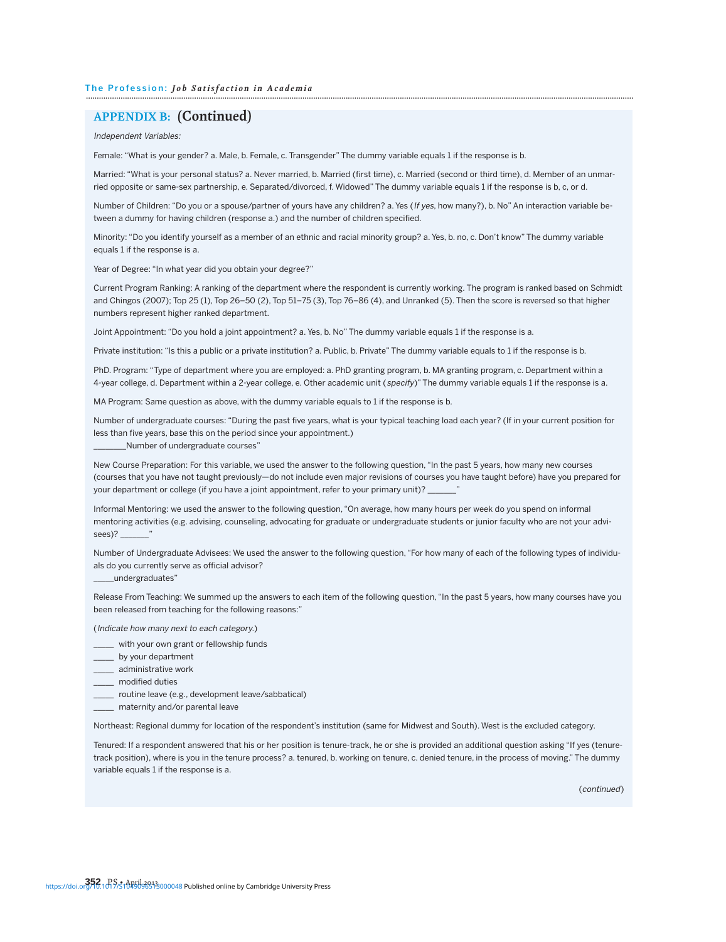## **APPENDIX B: (Continued)**

Independent Variables:

Female: "What is your gender? a. Male, b. Female, c. Transgender" The dummy variable equals 1 if the response is b.

Married: "What is your personal status? a. Never married, b. Married (first time), c. Married (second or third time), d. Member of an unmarried opposite or same-sex partnership, e. Separated/divorced, f. Widowed" The dummy variable equals 1 if the response is b, c, or d.

Number of Children: "Do you or a spouse/partner of yours have any children? a. Yes (If yes, how many?), b. No" An interaction variable between a dummy for having children (response a.) and the number of children specified.

Minority: "Do you identify yourself as a member of an ethnic and racial minority group? a. Yes, b. no, c. Don't know" The dummy variable equals 1 if the response is a.

Year of Degree: "In what year did you obtain your degree?"

Current Program Ranking: A ranking of the department where the respondent is currently working. The program is ranked based on Schmidt and Chingos (2007); Top 25 (1), Top 26–50 (2), Top 51–75 (3), Top 76–86 (4), and Unranked (5). Then the score is reversed so that higher numbers represent higher ranked department.

Joint Appointment: "Do you hold a joint appointment? a. Yes, b. No" The dummy variable equals 1 if the response is a.

Private institution: "Is this a public or a private institution? a. Public, b. Private" The dummy variable equals to 1 if the response is b.

PhD. Program: "Type of department where you are employed: a. PhD granting program, b. MA granting program, c. Department within a 4-year college, d. Department within a 2-year college, e. Other academic unit (specify)" The dummy variable equals 1 if the response is a.

MA Program: Same question as above, with the dummy variable equals to 1 if the response is b.

Number of undergraduate courses: "During the past five years, what is your typical teaching load each year? (If in your current position for less than five years, base this on the period since your appointment.)

\_\_\_\_\_\_\_\_Number of undergraduate courses"

New Course Preparation: For this variable, we used the answer to the following question, "In the past 5 years, how many new courses (courses that you have not taught previously—do not include even major revisions of courses you have taught before) have you prepared for your department or college (if you have a joint appointment, refer to your primary unit)? \_

Informal Mentoring: we used the answer to the following question, "On average, how many hours per week do you spend on informal mentoring activities (e.g. advising, counseling, advocating for graduate or undergraduate students or junior faculty who are not your advisees)? \_\_\_\_\_

Number of Undergraduate Advisees: We used the answer to the following question, "For how many of each of the following types of individuals do you currently serve as official advisor?

\_undergraduates"

Release From Teaching: We summed up the answers to each item of the following question, "In the past 5 years, how many courses have you been released from teaching for the following reasons:"

(Indicate how many next to each category.)

- with your own grant or fellowship funds
- \_\_\_\_\_ by your department
- \_\_\_\_\_ administrative work
- \_\_\_\_\_ modified duties
- \_\_\_\_\_ routine leave (e.g., development leave/sabbatical)
- \_\_\_\_\_ maternity and/or parental leave

Northeast: Regional dummy for location of the respondent's institution (same for Midwest and South). West is the excluded category.

Tenured: If a respondent answered that his or her position is tenure-track, he or she is provided an additional question asking "If yes (tenuretrack position), where is you in the tenure process? a. tenured, b. working on tenure, c. denied tenure, in the process of moving." The dummy variable equals 1 if the response is a.

(continued)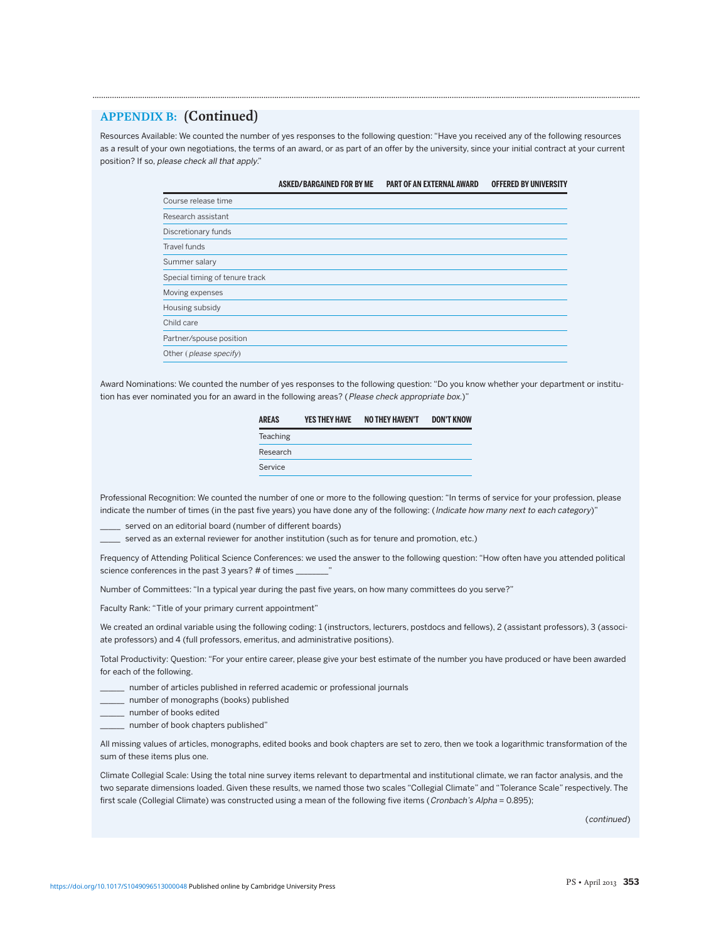## **APPENDIX B: (Continued)**

Resources Available: We counted the number of yes responses to the following question: "Have you received any of the following resources as a result of your own negotiations, the terms of an award, or as part of an offer by the university, since your initial contract at your current position? If so, please check all that apply."

**.............................................................................................................................................................................................................................................................**

|                                | <b>ASKED/BARGAINED FOR BY ME</b> | <b>PART OF AN EXTERNAL AWARD</b> | <b>OFFERED BY UNIVERSITY</b> |
|--------------------------------|----------------------------------|----------------------------------|------------------------------|
| Course release time            |                                  |                                  |                              |
| Research assistant             |                                  |                                  |                              |
| Discretionary funds            |                                  |                                  |                              |
| Travel funds                   |                                  |                                  |                              |
| Summer salary                  |                                  |                                  |                              |
| Special timing of tenure track |                                  |                                  |                              |
| Moving expenses                |                                  |                                  |                              |
| Housing subsidy                |                                  |                                  |                              |
| Child care                     |                                  |                                  |                              |
| Partner/spouse position        |                                  |                                  |                              |
| Other (please specify)         |                                  |                                  |                              |

Award Nominations: We counted the number of yes responses to the following question: "Do you know whether your department or institution has ever nominated you for an award in the following areas? (Please check appropriate box.)"

| <b>AREAS</b> | <b>YES THEY HAVE</b> | <b>NO THEY HAVEN'T</b> | <b>DON'T KNOW</b> |
|--------------|----------------------|------------------------|-------------------|
| Teaching     |                      |                        |                   |
| Research     |                      |                        |                   |
| Service      |                      |                        |                   |

Professional Recognition: We counted the number of one or more to the following question: "In terms of service for your profession, please indicate the number of times (in the past five years) you have done any of the following: (Indicate how many next to each category)"

served on an editorial board (number of different boards)

\_\_\_\_\_ served as an external reviewer for another institution (such as for tenure and promotion, etc.)

Frequency of Attending Political Science Conferences: we used the answer to the following question: "How often have you attended political science conferences in the past 3 years? # of times

Number of Committees: "In a typical year during the past five years, on how many committees do you serve?"

Faculty Rank: "Title of your primary current appointment"

We created an ordinal variable using the following coding: 1 (instructors, lecturers, postdocs and fellows), 2 (assistant professors), 3 (associate professors) and 4 (full professors, emeritus, and administrative positions).

Total Productivity: Question: "For your entire career, please give your best estimate of the number you have produced or have been awarded for each of the following.

- \_\_\_\_\_\_ number of articles published in referred academic or professional journals
- \_\_\_\_\_\_ number of monographs (books) published
- \_\_\_\_\_\_ number of books edited
- \_\_\_\_\_\_ number of book chapters published"

All missing values of articles, monographs, edited books and book chapters are set to zero, then we took a logarithmic transformation of the sum of these items plus one.

Climate Collegial Scale: Using the total nine survey items relevant to departmental and institutional climate, we ran factor analysis, and the two separate dimensions loaded. Given these results, we named those two scales "Collegial Climate" and "Tolerance Scale" respectively. The first scale (Collegial Climate) was constructed using a mean of the following five items (Cronbach's Alpha = 0.895);

(continued)